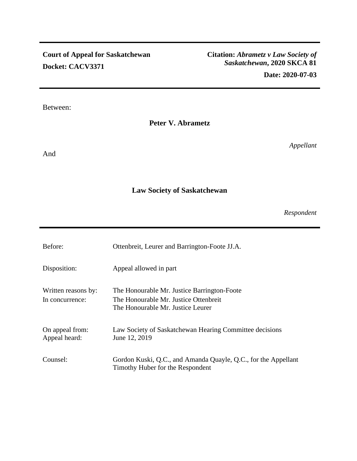# **Court of Appeal for Saskatchewan Docket: CACV3371**

## Between:

# **Peter V. Abrametz**

And

## *Appellant*

# **Law Society of Saskatchewan**

*Respondent* 

| Before:                                | Ottenbreit, Leurer and Barrington-Foote JJ.A.                                                                             |
|----------------------------------------|---------------------------------------------------------------------------------------------------------------------------|
| Disposition:                           | Appeal allowed in part                                                                                                    |
| Written reasons by:<br>In concurrence: | The Honourable Mr. Justice Barrington-Foote<br>The Honourable Mr. Justice Ottenbreit<br>The Honourable Mr. Justice Leurer |
| On appeal from:<br>Appeal heard:       | Law Society of Saskatchewan Hearing Committee decisions<br>June 12, 2019                                                  |
| Counsel:                               | Gordon Kuski, Q.C., and Amanda Quayle, Q.C., for the Appellant<br>Timothy Huber for the Respondent                        |

## **Citation:** *Abrametz v Law Society of Saskatchewan***, 2020 SKCA 81 Date: 2020-07-03**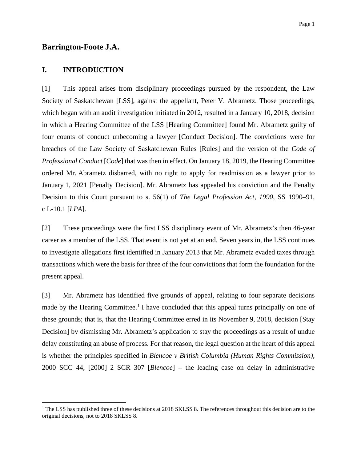### **Barrington-Foote J.A.**

### **I. INTRODUCTION**

[1] This appeal arises from disciplinary proceedings pursued by the respondent, the Law Society of Saskatchewan [LSS], against the appellant, Peter V. Abrametz. Those proceedings, which began with an audit investigation initiated in 2012, resulted in a January 10, 2018, decision in which a Hearing Committee of the LSS [Hearing Committee] found Mr. Abrametz guilty of four counts of conduct unbecoming a lawyer [Conduct Decision]. The convictions were for breaches of the Law Society of Saskatchewan Rules [Rules] and the version of the *Code of Professional Conduct* [*Code*] that was then in effect. On January 18, 2019, the Hearing Committee ordered Mr. Abrametz disbarred, with no right to apply for readmission as a lawyer prior to January 1, 2021 [Penalty Decision]. Mr. Abrametz has appealed his conviction and the Penalty Decision to this Court pursuant to s. 56(1) of *The Legal Profession Act, 1990*, SS 1990–91, c L-10.1 [*LPA*].

[2] These proceedings were the first LSS disciplinary event of Mr. Abrametz's then 46-year career as a member of the LSS. That event is not yet at an end. Seven years in, the LSS continues to investigate allegations first identified in January 2013 that Mr. Abrametz evaded taxes through transactions which were the basis for three of the four convictions that form the foundation for the present appeal.

[3] Mr. Abrametz has identified five grounds of appeal, relating to four separate decisions made by the Hearing Committee.<sup>1</sup> I have concluded that this appeal turns principally on one of these grounds; that is, that the Hearing Committee erred in its November 9, 2018, decision [Stay Decision] by dismissing Mr. Abrametz's application to stay the proceedings as a result of undue delay constituting an abuse of process. For that reason, the legal question at the heart of this appeal is whether the principles specified in *Blencoe v British Columbia (Human Rights Commission)*, 2000 SCC 44, [2000] 2 SCR 307 [*Blencoe*] – the leading case on delay in administrative

<sup>&</sup>lt;sup>1</sup> The LSS has published three of these decisions at 2018 SKLSS 8. The references throughout this decision are to the original decisions, not to 2018 SKLSS 8.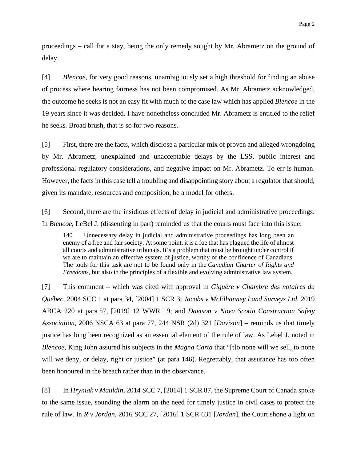proceedings – call for a stay, being the only remedy sought by Mr. Abrametz on the ground of delay.

[4] *Blencoe*, for very good reasons, unambiguously set a high threshold for finding an abuse of process where hearing fairness has not been compromised. As Mr. Abrametz acknowledged, the outcome he seeks is not an easy fit with much of the case law which has applied *Blencoe* in the 19 years since it was decided. I have nonetheless concluded Mr. Abrametz is entitled to the relief he seeks. Broad brush, that is so for two reasons.

[5] First, there are the facts, which disclose a particular mix of proven and alleged wrongdoing by Mr. Abrametz, unexplained and unacceptable delays by the LSS, public interest and professional regulatory considerations, and negative impact on Mr. Abrametz. To err is human. However, the facts in this case tell a troubling and disappointing story about a regulator that should, given its mandate, resources and composition, be a model for others.

[6] Second, there are the insidious effects of delay in judicial and administrative proceedings. In *Blencoe*, LeBel J. (dissenting in part) reminded us that the courts must face into this issue:

140 Unnecessary delay in judicial and administrative proceedings has long been an enemy of a free and fair society. At some point, it is a foe that has plagued the life of almost all courts and administrative tribunals. It's a problem that must be brought under control if we are to maintain an effective system of justice, worthy of the confidence of Canadians. The tools for this task are not to be found only in the *Canadian Charter of Rights and Freedoms*, but also in the principles of a flexible and evolving administrative law system.

[7] This comment – which was cited with approval in *Giguère v Chambre des notaires du Québec*, 2004 SCC 1 at para 34, [2004] 1 SCR 3; *Jacobs v McElhanney Land Surveys Ltd*, 2019 ABCA 220 at para 57, [2019] 12 WWR 19; and *Davison v Nova Scotia Construction Safety Association*, 2006 NSCA 63 at para 77, 244 NSR (2d) 321 [*Davison*] – reminds us that timely justice has long been recognized as an essential element of the rule of law. As Lebel J. noted in *Blencoe*, King John assured his subjects in the *Magna Carta* that "[t]o none will we sell, to none will we deny, or delay, right or justice" (at para 146). Regrettably, that assurance has too often been honoured in the breach rather than in the observance.

[8] In *Hryniak v Mauldin*, 2014 SCC 7, [2014] 1 SCR 87, the Supreme Court of Canada spoke to the same issue, sounding the alarm on the need for timely justice in civil cases to protect the rule of law. In *R v Jordan*, 2016 SCC 27, [2016] 1 SCR 631 [*Jordan*], the Court shone a light on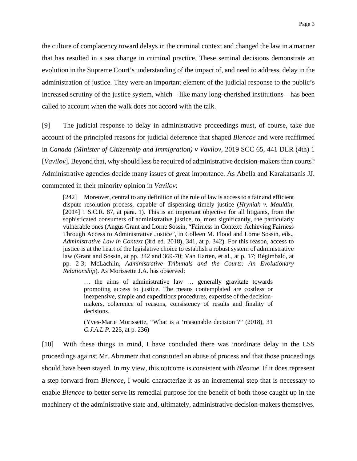the culture of complacency toward delays in the criminal context and changed the law in a manner that has resulted in a sea change in criminal practice. These seminal decisions demonstrate an evolution in the Supreme Court's understanding of the impact of, and need to address, delay in the administration of justice. They were an important element of the judicial response to the public's increased scrutiny of the justice system, which – like many long-cherished institutions – has been called to account when the walk does not accord with the talk.

[9] The judicial response to delay in administrative proceedings must, of course, take due account of the principled reasons for judicial deference that shaped *Blencoe* and were reaffirmed in *Canada (Minister of Citizenship and Immigration) v Vavilov*, 2019 SCC 65, 441 DLR (4th) 1 [*Vavilov*]*.* Beyond that, why should less be required of administrative decision-makers than courts? Administrative agencies decide many issues of great importance. As Abella and Karakatsanis JJ. commented in their minority opinion in *Vavilov*:

[242] Moreover, central to any definition of the rule of law is access to a fair and efficient dispute resolution process, capable of dispensing timely justice (*Hryniak v. Mauldin*, [2014] 1 S.C.R. 87, at para. 1). This is an important objective for all litigants, from the sophisticated consumers of administrative justice, to, most significantly, the particularly vulnerable ones (Angus Grant and Lorne Sossin, "Fairness in Context: Achieving Fairness Through Access to Administrative Justice", in Colleen M. Flood and Lorne Sossin, eds., *Administrative Law in Context* (3rd ed. 2018), 341, at p. 342). For this reason, access to justice is at the heart of the legislative choice to establish a robust system of administrative law (Grant and Sossin, at pp. 342 and 369-70; Van Harten, et al., at p. 17; Régimbald, at pp. 2-3; McLachlin, *Administrative Tribunals and the Courts: An Evolutionary Relationship*). As Morissette J.A. has observed:

… the aims of administrative law … generally gravitate towards promoting access to justice. The means contemplated are costless or inexpensive, simple and expeditious procedures, expertise of the decisionmakers, coherence of reasons, consistency of results and finality of decisions.

(Yves-Marie Morissette, "What is a 'reasonable decision'?" (2018), 31 *C.J.A.L.P.* 225, at p. 236)

[10] With these things in mind, I have concluded there was inordinate delay in the LSS proceedings against Mr. Abrametz that constituted an abuse of process and that those proceedings should have been stayed. In my view, this outcome is consistent with *Blencoe*. If it does represent a step forward from *Blencoe*, I would characterize it as an incremental step that is necessary to enable *Blencoe* to better serve its remedial purpose for the benefit of both those caught up in the machinery of the administrative state and, ultimately, administrative decision-makers themselves.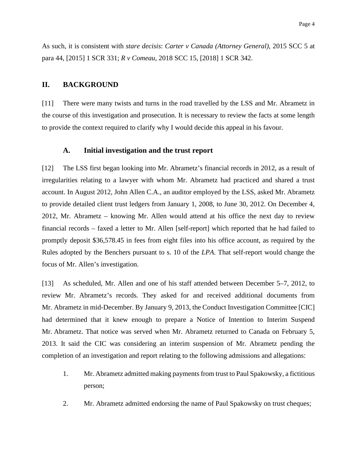As such, it is consistent with *stare decisis*: *Carter v Canada (Attorney General)*, 2015 SCC 5 at para 44, [2015] 1 SCR 331; *R v Comeau*, 2018 SCC 15, [2018] 1 SCR 342.

### **II. BACKGROUND**

[11] There were many twists and turns in the road travelled by the LSS and Mr. Abrametz in the course of this investigation and prosecution. It is necessary to review the facts at some length to provide the context required to clarify why I would decide this appeal in his favour.

### **A. Initial investigation and the trust report**

[12] The LSS first began looking into Mr. Abrametz's financial records in 2012, as a result of irregularities relating to a lawyer with whom Mr. Abrametz had practiced and shared a trust account. In August 2012, John Allen C.A., an auditor employed by the LSS, asked Mr. Abrametz to provide detailed client trust ledgers from January 1, 2008, to June 30, 2012. On December 4, 2012, Mr. Abrametz – knowing Mr. Allen would attend at his office the next day to review financial records – faxed a letter to Mr. Allen [self-report] which reported that he had failed to promptly deposit \$36,578.45 in fees from eight files into his office account, as required by the Rules adopted by the Benchers pursuant to s. 10 of the *LPA*. That self-report would change the focus of Mr. Allen's investigation.

[13] As scheduled, Mr. Allen and one of his staff attended between December 5–7, 2012, to review Mr. Abrametz's records. They asked for and received additional documents from Mr. Abrametz in mid-December. By January 9, 2013, the Conduct Investigation Committee [CIC] had determined that it knew enough to prepare a Notice of Intention to Interim Suspend Mr. Abrametz. That notice was served when Mr. Abrametz returned to Canada on February 5, 2013. It said the CIC was considering an interim suspension of Mr. Abrametz pending the completion of an investigation and report relating to the following admissions and allegations:

- 1. Mr. Abrametz admitted making payments from trust to Paul Spakowsky, a fictitious person;
- 2. Mr. Abrametz admitted endorsing the name of Paul Spakowsky on trust cheques;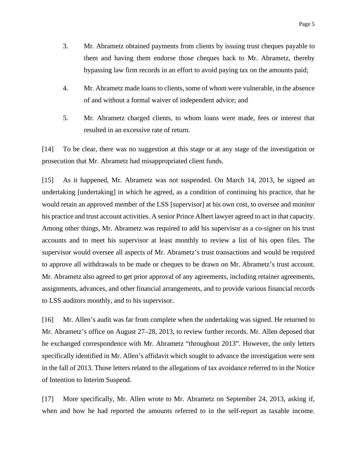- 3. Mr. Abrametz obtained payments from clients by issuing trust cheques payable to them and having them endorse those cheques back to Mr. Abrametz, thereby bypassing law firm records in an effort to avoid paying tax on the amounts paid;
- 4. Mr. Abrametz made loans to clients, some of whom were vulnerable, in the absence of and without a formal waiver of independent advice; and
- 5. Mr. Abrametz charged clients, to whom loans were made, fees or interest that resulted in an excessive rate of return.

[14] To be clear, there was no suggestion at this stage or at any stage of the investigation or prosecution that Mr. Abrametz had misappropriated client funds.

[15] As it happened, Mr. Abrametz was not suspended. On March 14, 2013, he signed an undertaking [undertaking] in which he agreed, as a condition of continuing his practice, that he would retain an approved member of the LSS [supervisor] at his own cost, to oversee and monitor his practice and trust account activities. A senior Prince Albert lawyer agreed to act in that capacity. Among other things, Mr. Abrametz was required to add his supervisor as a co-signer on his trust accounts and to meet his supervisor at least monthly to review a list of his open files. The supervisor would oversee all aspects of Mr. Abrametz's trust transactions and would be required to approve all withdrawals to be made or cheques to be drawn on Mr. Abrametz's trust account. Mr. Abrametz also agreed to get prior approval of any agreements, including retainer agreements, assignments, advances, and other financial arrangements, and to provide various financial records to LSS auditors monthly, and to his supervisor.

[16] Mr. Allen's audit was far from complete when the undertaking was signed. He returned to Mr. Abrametz's office on August 27–28, 2013, to review further records. Mr. Allen deposed that he exchanged correspondence with Mr. Abrametz "throughout 2013". However, the only letters specifically identified in Mr. Allen's affidavit which sought to advance the investigation were sent in the fall of 2013. Those letters related to the allegations of tax avoidance referred to in the Notice of Intention to Interim Suspend.

[17] More specifically, Mr. Allen wrote to Mr. Abrametz on September 24, 2013, asking if, when and how he had reported the amounts referred to in the self-report as taxable income.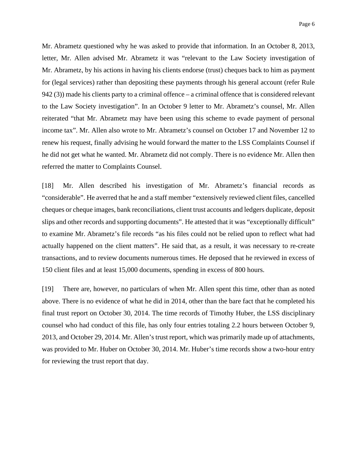Mr. Abrametz questioned why he was asked to provide that information. In an October 8, 2013, letter, Mr. Allen advised Mr. Abrametz it was "relevant to the Law Society investigation of Mr. Abrametz, by his actions in having his clients endorse (trust) cheques back to him as payment for (legal services) rather than depositing these payments through his general account (refer Rule 942 (3)) made his clients party to a criminal offence – a criminal offence that is considered relevant to the Law Society investigation". In an October 9 letter to Mr. Abrametz's counsel, Mr. Allen reiterated "that Mr. Abrametz may have been using this scheme to evade payment of personal income tax". Mr. Allen also wrote to Mr. Abrametz's counsel on October 17 and November 12 to renew his request, finally advising he would forward the matter to the LSS Complaints Counsel if he did not get what he wanted. Mr. Abrametz did not comply. There is no evidence Mr. Allen then referred the matter to Complaints Counsel.

[18] Mr. Allen described his investigation of Mr. Abrametz's financial records as "considerable". He averred that he and a staff member "extensively reviewed client files, cancelled cheques or cheque images, bank reconciliations, client trust accounts and ledgers duplicate, deposit slips and other records and supporting documents". He attested that it was "exceptionally difficult" to examine Mr. Abrametz's file records "as his files could not be relied upon to reflect what had actually happened on the client matters". He said that, as a result, it was necessary to re-create transactions, and to review documents numerous times. He deposed that he reviewed in excess of 150 client files and at least 15,000 documents, spending in excess of 800 hours.

[19] There are, however, no particulars of when Mr. Allen spent this time, other than as noted above. There is no evidence of what he did in 2014, other than the bare fact that he completed his final trust report on October 30, 2014. The time records of Timothy Huber, the LSS disciplinary counsel who had conduct of this file, has only four entries totaling 2.2 hours between October 9, 2013, and October 29, 2014. Mr. Allen's trust report, which was primarily made up of attachments, was provided to Mr. Huber on October 30, 2014. Mr. Huber's time records show a two-hour entry for reviewing the trust report that day.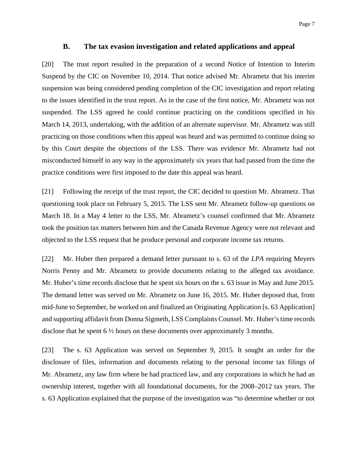#### **B. The tax evasion investigation and related applications and appeal**

[20] The trust report resulted in the preparation of a second Notice of Intention to Interim Suspend by the CIC on November 10, 2014. That notice advised Mr. Abrametz that his interim suspension was being considered pending completion of the CIC investigation and report relating to the issues identified in the trust report. As in the case of the first notice, Mr. Abrametz was not suspended. The LSS agreed he could continue practicing on the conditions specified in his March 14, 2013, undertaking, with the addition of an alternate supervisor. Mr. Abrametz was still practicing on those conditions when this appeal was heard and was permitted to continue doing so by this Court despite the objections of the LSS. There was evidence Mr. Abrametz had not misconducted himself in any way in the approximately six years that had passed from the time the practice conditions were first imposed to the date this appeal was heard.

[21] Following the receipt of the trust report, the CIC decided to question Mr. Abrametz. That questioning took place on February 5, 2015. The LSS sent Mr. Abrametz follow-up questions on March 18. In a May 4 letter to the LSS, Mr. Abrametz's counsel confirmed that Mr. Abrametz took the position tax matters between him and the Canada Revenue Agency were not relevant and objected to the LSS request that he produce personal and corporate income tax returns.

[22] Mr. Huber then prepared a demand letter pursuant to s. 63 of the *LPA* requiring Meyers Norris Penny and Mr. Abrametz to provide documents relating to the alleged tax avoidance. Mr. Huber's time records disclose that he spent six hours on the s. 63 issue in May and June 2015. The demand letter was served on Mr. Abrametz on June 16, 2015. Mr. Huber deposed that, from mid-June to September, he worked on and finalized an Originating Application [s. 63 Application] and supporting affidavit from Donna Sigmeth, LSS Complaints Counsel. Mr. Huber's time records disclose that he spent 6 ½ hours on these documents over approximately 3 months.

[23] The s. 63 Application was served on September 9, 2015. It sought an order for the disclosure of files, information and documents relating to the personal income tax filings of Mr. Abrametz, any law firm where he had practiced law, and any corporations in which he had an ownership interest, together with all foundational documents, for the 2008–2012 tax years. The s. 63 Application explained that the purpose of the investigation was "to determine whether or not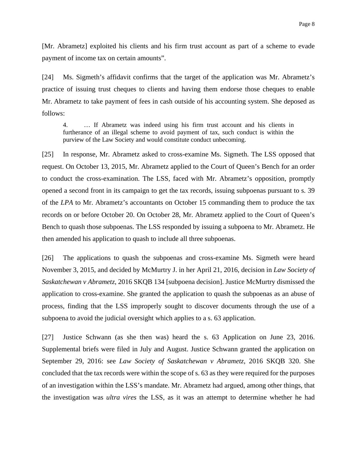[Mr. Abrametz] exploited his clients and his firm trust account as part of a scheme to evade payment of income tax on certain amounts".

[24] Ms. Sigmeth's affidavit confirms that the target of the application was Mr. Abrametz's practice of issuing trust cheques to clients and having them endorse those cheques to enable Mr. Abrametz to take payment of fees in cash outside of his accounting system. She deposed as follows:

4. … If Abrametz was indeed using his firm trust account and his clients in furtherance of an illegal scheme to avoid payment of tax, such conduct is within the purview of the Law Society and would constitute conduct unbecoming.

[25] In response, Mr. Abrametz asked to cross-examine Ms. Sigmeth. The LSS opposed that request. On October 13, 2015, Mr. Abrametz applied to the Court of Queen's Bench for an order to conduct the cross-examination. The LSS, faced with Mr. Abrametz's opposition, promptly opened a second front in its campaign to get the tax records, issuing subpoenas pursuant to s. 39 of the *LPA* to Mr. Abrametz's accountants on October 15 commanding them to produce the tax records on or before October 20. On October 28, Mr. Abrametz applied to the Court of Queen's Bench to quash those subpoenas. The LSS responded by issuing a subpoena to Mr. Abrametz. He then amended his application to quash to include all three subpoenas.

[26] The applications to quash the subpoenas and cross-examine Ms. Sigmeth were heard November 3, 2015, and decided by McMurtry J. in her April 21, 2016, decision in *Law Society of Saskatchewan v Abrametz*, 2016 SKQB 134 [subpoena decision]. Justice McMurtry dismissed the application to cross-examine. She granted the application to quash the subpoenas as an abuse of process, finding that the LSS improperly sought to discover documents through the use of a subpoena to avoid the judicial oversight which applies to a s. 63 application.

[27] Justice Schwann (as she then was) heard the s. 63 Application on June 23, 2016. Supplemental briefs were filed in July and August. Justice Schwann granted the application on September 29, 2016: see *Law Society of Saskatchewan v Abrametz*, 2016 SKQB 320. She concluded that the tax records were within the scope of s. 63 as they were required for the purposes of an investigation within the LSS's mandate. Mr. Abrametz had argued, among other things, that the investigation was *ultra vires* the LSS, as it was an attempt to determine whether he had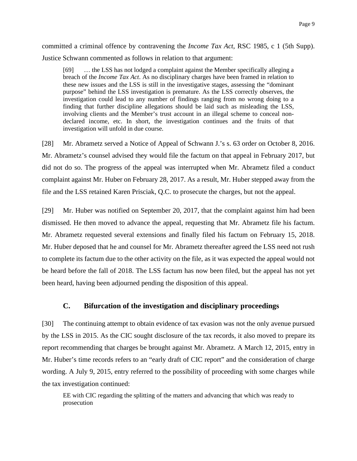committed a criminal offence by contravening the *Income Tax Act*, RSC 1985, c 1 (5th Supp). Justice Schwann commented as follows in relation to that argument:

[69] … the LSS has not lodged a complaint against the Member specifically alleging a breach of the *Income Tax Act*. As no disciplinary charges have been framed in relation to these new issues and the LSS is still in the investigative stages, assessing the "dominant purpose" behind the LSS investigation is premature. As the LSS correctly observes, the investigation could lead to any number of findings ranging from no wrong doing to a finding that further discipline allegations should be laid such as misleading the LSS, involving clients and the Member's trust account in an illegal scheme to conceal nondeclared income, etc. In short, the investigation continues and the fruits of that investigation will unfold in due course.

[28] Mr. Abrametz served a Notice of Appeal of Schwann J.'s s. 63 order on October 8, 2016. Mr. Abrametz's counsel advised they would file the factum on that appeal in February 2017, but did not do so. The progress of the appeal was interrupted when Mr. Abrametz filed a conduct complaint against Mr. Huber on February 28, 2017. As a result, Mr. Huber stepped away from the file and the LSS retained Karen Prisciak, Q.C. to prosecute the charges, but not the appeal.

[29] Mr. Huber was notified on September 20, 2017, that the complaint against him had been dismissed. He then moved to advance the appeal, requesting that Mr. Abrametz file his factum. Mr. Abrametz requested several extensions and finally filed his factum on February 15, 2018. Mr. Huber deposed that he and counsel for Mr. Abrametz thereafter agreed the LSS need not rush to complete its factum due to the other activity on the file, as it was expected the appeal would not be heard before the fall of 2018. The LSS factum has now been filed, but the appeal has not yet been heard, having been adjourned pending the disposition of this appeal.

## **C. Bifurcation of the investigation and disciplinary proceedings**

[30] The continuing attempt to obtain evidence of tax evasion was not the only avenue pursued by the LSS in 2015. As the CIC sought disclosure of the tax records, it also moved to prepare its report recommending that charges be brought against Mr. Abrametz. A March 12, 2015, entry in Mr. Huber's time records refers to an "early draft of CIC report" and the consideration of charge wording. A July 9, 2015, entry referred to the possibility of proceeding with some charges while the tax investigation continued:

EE with CIC regarding the splitting of the matters and advancing that which was ready to prosecution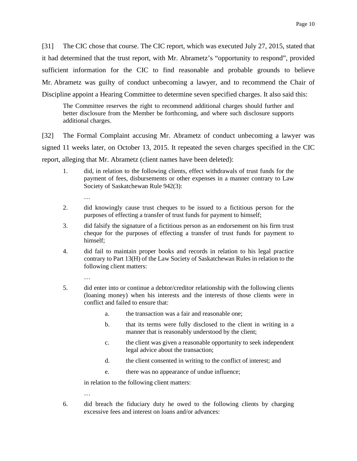[31] The CIC chose that course. The CIC report, which was executed July 27, 2015, stated that it had determined that the trust report, with Mr. Abrametz's "opportunity to respond", provided sufficient information for the CIC to find reasonable and probable grounds to believe Mr. Abrametz was guilty of conduct unbecoming a lawyer, and to recommend the Chair of Discipline appoint a Hearing Committee to determine seven specified charges. It also said this:

The Committee reserves the right to recommend additional charges should further and better disclosure from the Member be forthcoming, and where such disclosure supports additional charges.

[32] The Formal Complaint accusing Mr. Abrametz of conduct unbecoming a lawyer was signed 11 weeks later, on October 13, 2015. It repeated the seven charges specified in the CIC report, alleging that Mr. Abrametz (client names have been deleted):

- 1. did, in relation to the following clients, effect withdrawals of trust funds for the payment of fees, disbursements or other expenses in a manner contrary to Law Society of Saskatchewan Rule 942(3):
	- …
- 2. did knowingly cause trust cheques to be issued to a fictitious person for the purposes of effecting a transfer of trust funds for payment to himself;
- 3. did falsify the signature of a fictitious person as an endorsement on his firm trust cheque for the purposes of effecting a transfer of trust funds for payment to himself;
- 4. did fail to maintain proper books and records in relation to his legal practice contrary to Part 13(H) of the Law Society of Saskatchewan Rules in relation to the following client matters:
	- …

…

- 5. did enter into or continue a debtor/creditor relationship with the following clients (loaning money) when his interests and the interests of those clients were in conflict and failed to ensure that:
	- a. the transaction was a fair and reasonable one;
	- b. that its terms were fully disclosed to the client in writing in a manner that is reasonably understood by the client;
	- c. the client was given a reasonable opportunity to seek independent legal advice about the transaction;
	- d. the client consented in writing to the conflict of interest; and
	- e. there was no appearance of undue influence;

in relation to the following client matters:

6. did breach the fiduciary duty he owed to the following clients by charging excessive fees and interest on loans and/or advances: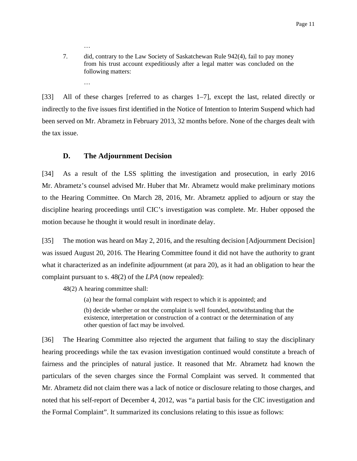7. did, contrary to the Law Society of Saskatchewan Rule 942(4), fail to pay money from his trust account expeditiously after a legal matter was concluded on the following matters:

…

…

[33] All of these charges [referred to as charges 1–7], except the last, related directly or indirectly to the five issues first identified in the Notice of Intention to Interim Suspend which had been served on Mr. Abrametz in February 2013, 32 months before. None of the charges dealt with the tax issue.

## **D. The Adjournment Decision**

[34] As a result of the LSS splitting the investigation and prosecution, in early 2016 Mr. Abrametz's counsel advised Mr. Huber that Mr. Abrametz would make preliminary motions to the Hearing Committee. On March 28, 2016, Mr. Abrametz applied to adjourn or stay the discipline hearing proceedings until CIC's investigation was complete. Mr. Huber opposed the motion because he thought it would result in inordinate delay.

[35] The motion was heard on May 2, 2016, and the resulting decision [Adjournment Decision] was issued August 20, 2016. The Hearing Committee found it did not have the authority to grant what it characterized as an indefinite adjournment (at para 20), as it had an obligation to hear the complaint pursuant to s. 48(2) of the *LPA* (now repealed):

48(2) A hearing committee shall:

(a) hear the formal complaint with respect to which it is appointed; and

(b) decide whether or not the complaint is well founded, notwithstanding that the existence, interpretation or construction of a contract or the determination of any other question of fact may be involved.

[36] The Hearing Committee also rejected the argument that failing to stay the disciplinary hearing proceedings while the tax evasion investigation continued would constitute a breach of fairness and the principles of natural justice. It reasoned that Mr. Abrametz had known the particulars of the seven charges since the Formal Complaint was served. It commented that Mr. Abrametz did not claim there was a lack of notice or disclosure relating to those charges, and noted that his self-report of December 4, 2012, was "a partial basis for the CIC investigation and the Formal Complaint". It summarized its conclusions relating to this issue as follows: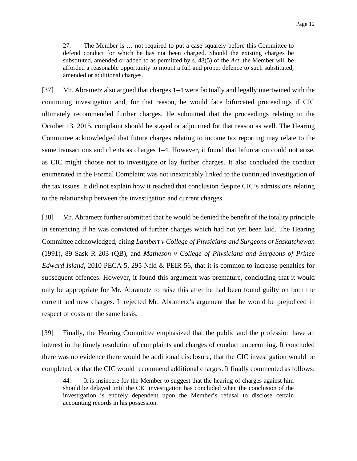27. The Member is … not required to put a case squarely before this Committee to defend conduct for which he has not been charged. Should the existing charges be substituted, amended or added to as permitted by s. 48(5) of the *Act*, the Member will be afforded a reasonable opportunity to mount a full and proper defence to such substituted, amended or additional charges.

[37] Mr. Abrametz also argued that charges 1–4 were factually and legally intertwined with the continuing investigation and, for that reason, he would face bifurcated proceedings if CIC ultimately recommended further charges. He submitted that the proceedings relating to the October 13, 2015, complaint should be stayed or adjourned for that reason as well. The Hearing Committee acknowledged that future charges relating to income tax reporting may relate to the same transactions and clients as charges 1–4. However, it found that bifurcation could not arise, as CIC might choose not to investigate or lay further charges. It also concluded the conduct enumerated in the Formal Complaint was not inextricably linked to the continued investigation of the tax issues. It did not explain how it reached that conclusion despite CIC's admissions relating to the relationship between the investigation and current charges.

[38] Mr. Abrametz further submitted that he would be denied the benefit of the totality principle in sentencing if he was convicted of further charges which had not yet been laid. The Hearing Committee acknowledged, citing *Lambert v College of Physicians and Surgeons of Saskatchewan* (1991), 89 Sask R 203 (QB), and *Matheson v College of Physicians and Surgeons of Prince Edward Island*, 2010 PECA 5, 295 Nfld & PEIR 56, that it is common to increase penalties for subsequent offences. However, it found this argument was premature, concluding that it would only be appropriate for Mr. Abrametz to raise this after he had been found guilty on both the current and new charges. It rejected Mr. Abrametz's argument that he would be prejudiced in respect of costs on the same basis.

[39] Finally, the Hearing Committee emphasized that the public and the profession have an interest in the timely resolution of complaints and charges of conduct unbecoming. It concluded there was no evidence there would be additional disclosure, that the CIC investigation would be completed, or that the CIC would recommend additional charges. It finally commented as follows:

44. It is insincere for the Member to suggest that the hearing of charges against him should be delayed until the CIC investigation has concluded when the conclusion of the investigation is entirely dependent upon the Member's refusal to disclose certain accounting records in his possession.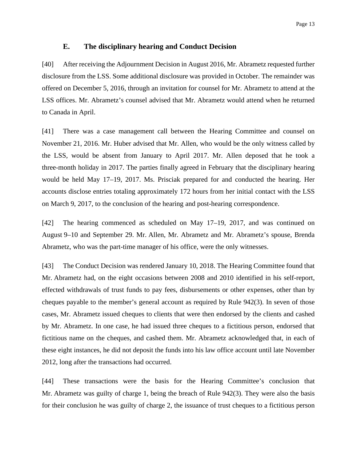#### **E. The disciplinary hearing and Conduct Decision**

[40] After receiving the Adjournment Decision in August 2016, Mr. Abrametz requested further disclosure from the LSS. Some additional disclosure was provided in October. The remainder was offered on December 5, 2016, through an invitation for counsel for Mr. Abrametz to attend at the LSS offices. Mr. Abrametz's counsel advised that Mr. Abrametz would attend when he returned to Canada in April.

[41] There was a case management call between the Hearing Committee and counsel on November 21, 2016. Mr. Huber advised that Mr. Allen, who would be the only witness called by the LSS, would be absent from January to April 2017. Mr. Allen deposed that he took a three-month holiday in 2017. The parties finally agreed in February that the disciplinary hearing would be held May 17–19, 2017. Ms. Prisciak prepared for and conducted the hearing. Her accounts disclose entries totaling approximately 172 hours from her initial contact with the LSS on March 9, 2017, to the conclusion of the hearing and post-hearing correspondence.

[42] The hearing commenced as scheduled on May 17–19, 2017, and was continued on August 9–10 and September 29. Mr. Allen, Mr. Abrametz and Mr. Abrametz's spouse, Brenda Abrametz, who was the part-time manager of his office, were the only witnesses.

[43] The Conduct Decision was rendered January 10, 2018. The Hearing Committee found that Mr. Abrametz had, on the eight occasions between 2008 and 2010 identified in his self-report, effected withdrawals of trust funds to pay fees, disbursements or other expenses, other than by cheques payable to the member's general account as required by Rule 942(3). In seven of those cases, Mr. Abrametz issued cheques to clients that were then endorsed by the clients and cashed by Mr. Abrametz. In one case, he had issued three cheques to a fictitious person, endorsed that fictitious name on the cheques, and cashed them. Mr. Abrametz acknowledged that, in each of these eight instances, he did not deposit the funds into his law office account until late November 2012, long after the transactions had occurred.

[44] These transactions were the basis for the Hearing Committee's conclusion that Mr. Abrametz was guilty of charge 1, being the breach of Rule 942(3). They were also the basis for their conclusion he was guilty of charge 2, the issuance of trust cheques to a fictitious person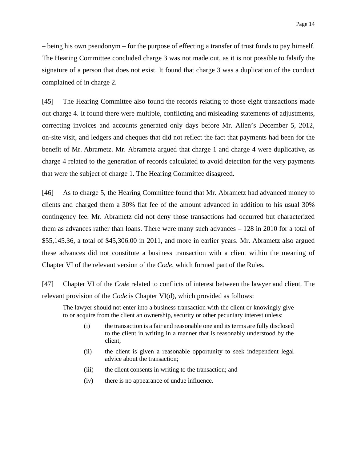– being his own pseudonym – for the purpose of effecting a transfer of trust funds to pay himself. The Hearing Committee concluded charge 3 was not made out, as it is not possible to falsify the signature of a person that does not exist. It found that charge 3 was a duplication of the conduct complained of in charge 2.

[45] The Hearing Committee also found the records relating to those eight transactions made out charge 4. It found there were multiple, conflicting and misleading statements of adjustments, correcting invoices and accounts generated only days before Mr. Allen's December 5, 2012, on-site visit, and ledgers and cheques that did not reflect the fact that payments had been for the benefit of Mr. Abrametz. Mr. Abrametz argued that charge 1 and charge 4 were duplicative, as charge 4 related to the generation of records calculated to avoid detection for the very payments that were the subject of charge 1. The Hearing Committee disagreed.

[46] As to charge 5, the Hearing Committee found that Mr. Abrametz had advanced money to clients and charged them a 30% flat fee of the amount advanced in addition to his usual 30% contingency fee. Mr. Abrametz did not deny those transactions had occurred but characterized them as advances rather than loans. There were many such advances – 128 in 2010 for a total of \$55,145.36, a total of \$45,306.00 in 2011, and more in earlier years. Mr. Abrametz also argued these advances did not constitute a business transaction with a client within the meaning of Chapter VI of the relevant version of the *Code*, which formed part of the Rules.

[47] Chapter VI of the *Code* related to conflicts of interest between the lawyer and client. The relevant provision of the *Code* is Chapter VI(d), which provided as follows:

The lawyer should not enter into a business transaction with the client or knowingly give to or acquire from the client an ownership, security or other pecuniary interest unless:

- (i) the transaction is a fair and reasonable one and its terms are fully disclosed to the client in writing in a manner that is reasonably understood by the client;
- (ii) the client is given a reasonable opportunity to seek independent legal advice about the transaction;
- (iii) the client consents in writing to the transaction; and
- (iv) there is no appearance of undue influence.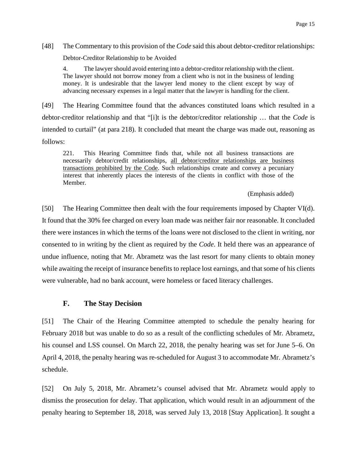[48] The Commentary to this provision of the *Code* said this about debtor-creditor relationships: Debtor-Creditor Relationship to be Avoided

4. The lawyer should avoid entering into a debtor-creditor relationship with the client. The lawyer should not borrow money from a client who is not in the business of lending money. It is undesirable that the lawyer lend money to the client except by way of advancing necessary expenses in a legal matter that the lawyer is handling for the client.

[49] The Hearing Committee found that the advances constituted loans which resulted in a debtor-creditor relationship and that "[i]t is the debtor/creditor relationship … that the *Code* is intended to curtail" (at para 218). It concluded that meant the charge was made out, reasoning as follows:

221. This Hearing Committee finds that, while not all business transactions are necessarily debtor/credit relationships, all debtor/creditor relationships are business transactions prohibited by the Code. Such relationships create and convey a pecuniary interest that inherently places the interests of the clients in conflict with those of the Member.

#### (Emphasis added)

[50] The Hearing Committee then dealt with the four requirements imposed by Chapter VI(d). It found that the 30% fee charged on every loan made was neither fair nor reasonable. It concluded there were instances in which the terms of the loans were not disclosed to the client in writing, nor consented to in writing by the client as required by the *Code*. It held there was an appearance of undue influence, noting that Mr. Abrametz was the last resort for many clients to obtain money while awaiting the receipt of insurance benefits to replace lost earnings, and that some of his clients were vulnerable, had no bank account, were homeless or faced literacy challenges.

#### **F. The Stay Decision**

[51] The Chair of the Hearing Committee attempted to schedule the penalty hearing for February 2018 but was unable to do so as a result of the conflicting schedules of Mr. Abrametz, his counsel and LSS counsel. On March 22, 2018, the penalty hearing was set for June 5–6. On April 4, 2018, the penalty hearing was re-scheduled for August 3 to accommodate Mr. Abrametz's schedule.

[52] On July 5, 2018, Mr. Abrametz's counsel advised that Mr. Abrametz would apply to dismiss the prosecution for delay. That application, which would result in an adjournment of the penalty hearing to September 18, 2018, was served July 13, 2018 [Stay Application]. It sought a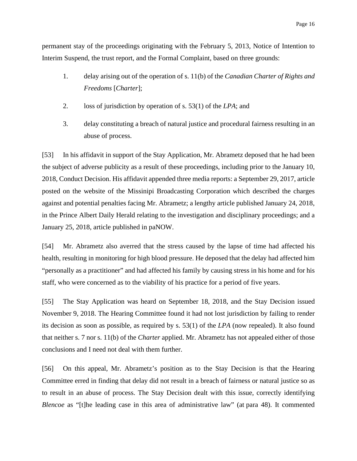permanent stay of the proceedings originating with the February 5, 2013, Notice of Intention to Interim Suspend, the trust report, and the Formal Complaint, based on three grounds:

- 1. delay arising out of the operation of s. 11(b) of the *Canadian Charter of Rights and Freedoms* [*Charter*];
- 2. loss of jurisdiction by operation of s. 53(1) of the *LPA*; and
- 3. delay constituting a breach of natural justice and procedural fairness resulting in an abuse of process.

[53] In his affidavit in support of the Stay Application, Mr. Abrametz deposed that he had been the subject of adverse publicity as a result of these proceedings, including prior to the January 10, 2018, Conduct Decision. His affidavit appended three media reports: a September 29, 2017, article posted on the website of the Missinipi Broadcasting Corporation which described the charges against and potential penalties facing Mr. Abrametz; a lengthy article published January 24, 2018, in the Prince Albert Daily Herald relating to the investigation and disciplinary proceedings; and a January 25, 2018, article published in paNOW.

[54] Mr. Abrametz also averred that the stress caused by the lapse of time had affected his health, resulting in monitoring for high blood pressure. He deposed that the delay had affected him "personally as a practitioner" and had affected his family by causing stress in his home and for his staff, who were concerned as to the viability of his practice for a period of five years.

[55] The Stay Application was heard on September 18, 2018, and the Stay Decision issued November 9, 2018. The Hearing Committee found it had not lost jurisdiction by failing to render its decision as soon as possible, as required by s. 53(1) of the *LPA* (now repealed). It also found that neither s. 7 nor s. 11(b) of the *Charter* applied. Mr. Abrametz has not appealed either of those conclusions and I need not deal with them further.

[56] On this appeal, Mr. Abrametz's position as to the Stay Decision is that the Hearing Committee erred in finding that delay did not result in a breach of fairness or natural justice so as to result in an abuse of process. The Stay Decision dealt with this issue, correctly identifying *Blencoe* as "[t]he leading case in this area of administrative law" (at para 48). It commented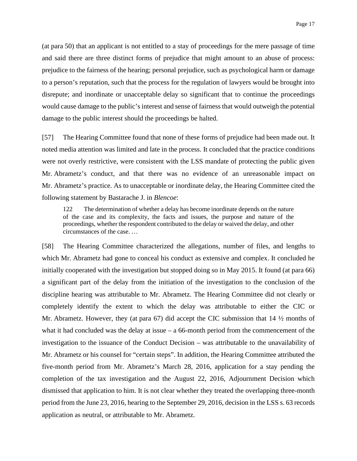(at para 50) that an applicant is not entitled to a stay of proceedings for the mere passage of time and said there are three distinct forms of prejudice that might amount to an abuse of process: prejudice to the fairness of the hearing; personal prejudice, such as psychological harm or damage to a person's reputation, such that the process for the regulation of lawyers would be brought into disrepute; and inordinate or unacceptable delay so significant that to continue the proceedings would cause damage to the public's interest and sense of fairness that would outweigh the potential damage to the public interest should the proceedings be halted.

[57] The Hearing Committee found that none of these forms of prejudice had been made out. It noted media attention was limited and late in the process. It concluded that the practice conditions were not overly restrictive, were consistent with the LSS mandate of protecting the public given Mr. Abrametz's conduct, and that there was no evidence of an unreasonable impact on Mr. Abrametz's practice. As to unacceptable or inordinate delay, the Hearing Committee cited the following statement by Bastarache J. in *Blencoe*:

122 The determination of whether a delay has become inordinate depends on the nature of the case and its complexity, the facts and issues, the purpose and nature of the proceedings, whether the respondent contributed to the delay or waived the delay, and other circumstances of the case. …

[58] The Hearing Committee characterized the allegations, number of files, and lengths to which Mr. Abrametz had gone to conceal his conduct as extensive and complex. It concluded he initially cooperated with the investigation but stopped doing so in May 2015. It found (at para 66) a significant part of the delay from the initiation of the investigation to the conclusion of the discipline hearing was attributable to Mr. Abrametz. The Hearing Committee did not clearly or completely identify the extent to which the delay was attributable to either the CIC or Mr. Abrametz. However, they (at para 67) did accept the CIC submission that 14 ½ months of what it had concluded was the delay at issue – a 66-month period from the commencement of the investigation to the issuance of the Conduct Decision – was attributable to the unavailability of Mr. Abrametz or his counsel for "certain steps". In addition, the Hearing Committee attributed the five-month period from Mr. Abrametz's March 28, 2016, application for a stay pending the completion of the tax investigation and the August 22, 2016, Adjournment Decision which dismissed that application to him. It is not clear whether they treated the overlapping three-month period from the June 23, 2016, hearing to the September 29, 2016, decision in the LSS s. 63 records application as neutral, or attributable to Mr. Abrametz.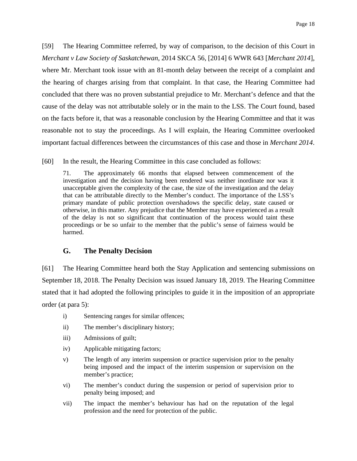[59] The Hearing Committee referred, by way of comparison, to the decision of this Court in *Merchant v Law Society of Saskatchewan*, 2014 SKCA 56, [2014] 6 WWR 643 [*Merchant 2014*], where Mr. Merchant took issue with an 81-month delay between the receipt of a complaint and the hearing of charges arising from that complaint. In that case, the Hearing Committee had concluded that there was no proven substantial prejudice to Mr. Merchant's defence and that the cause of the delay was not attributable solely or in the main to the LSS. The Court found, based on the facts before it, that was a reasonable conclusion by the Hearing Committee and that it was reasonable not to stay the proceedings. As I will explain, the Hearing Committee overlooked important factual differences between the circumstances of this case and those in *Merchant 2014*.

[60] In the result, the Hearing Committee in this case concluded as follows:

71. The approximately 66 months that elapsed between commencement of the investigation and the decision having been rendered was neither inordinate nor was it unacceptable given the complexity of the case, the size of the investigation and the delay that can be attributable directly to the Member's conduct. The importance of the LSS's primary mandate of public protection overshadows the specific delay, state caused or otherwise, in this matter. Any prejudice that the Member may have experienced as a result of the delay is not so significant that continuation of the process would taint these proceedings or be so unfair to the member that the public's sense of fairness would be harmed.

### **G. The Penalty Decision**

[61] The Hearing Committee heard both the Stay Application and sentencing submissions on September 18, 2018. The Penalty Decision was issued January 18, 2019. The Hearing Committee stated that it had adopted the following principles to guide it in the imposition of an appropriate order (at para 5):

- i) Sentencing ranges for similar offences;
- ii) The member's disciplinary history;
- iii) Admissions of guilt;
- iv) Applicable mitigating factors;
- v) The length of any interim suspension or practice supervision prior to the penalty being imposed and the impact of the interim suspension or supervision on the member's practice;
- vi) The member's conduct during the suspension or period of supervision prior to penalty being imposed; and
- vii) The impact the member's behaviour has had on the reputation of the legal profession and the need for protection of the public.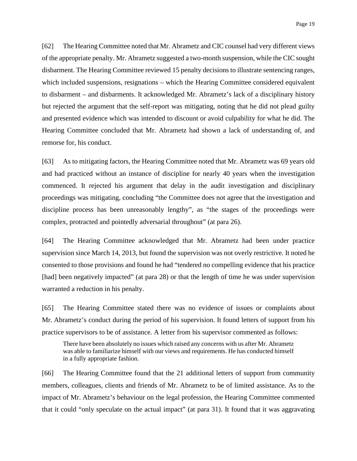[62] The Hearing Committee noted that Mr. Abrametz and CIC counsel had very different views of the appropriate penalty. Mr. Abrametz suggested a two-month suspension, while the CIC sought disbarment. The Hearing Committee reviewed 15 penalty decisions to illustrate sentencing ranges, which included suspensions, resignations – which the Hearing Committee considered equivalent to disbarment – and disbarments. It acknowledged Mr. Abrametz's lack of a disciplinary history but rejected the argument that the self-report was mitigating, noting that he did not plead guilty and presented evidence which was intended to discount or avoid culpability for what he did. The Hearing Committee concluded that Mr. Abrametz had shown a lack of understanding of, and remorse for, his conduct.

[63] As to mitigating factors, the Hearing Committee noted that Mr. Abrametz was 69 years old and had practiced without an instance of discipline for nearly 40 years when the investigation commenced. It rejected his argument that delay in the audit investigation and disciplinary proceedings was mitigating, concluding "the Committee does not agree that the investigation and discipline process has been unreasonably lengthy", as "the stages of the proceedings were complex, protracted and pointedly adversarial throughout" (at para 26).

[64] The Hearing Committee acknowledged that Mr. Abrametz had been under practice supervision since March 14, 2013, but found the supervision was not overly restrictive. It noted he consented to those provisions and found he had "tendered no compelling evidence that his practice [had] been negatively impacted" (at para 28) or that the length of time he was under supervision warranted a reduction in his penalty.

[65] The Hearing Committee stated there was no evidence of issues or complaints about Mr. Abrametz's conduct during the period of his supervision. It found letters of support from his practice supervisors to be of assistance. A letter from his supervisor commented as follows:

There have been absolutely no issues which raised any concerns with us after Mr. Abrametz was able to familiarize himself with our views and requirements. He has conducted himself in a fully appropriate fashion.

[66] The Hearing Committee found that the 21 additional letters of support from community members, colleagues, clients and friends of Mr. Abrametz to be of limited assistance. As to the impact of Mr. Abrametz's behaviour on the legal profession, the Hearing Committee commented that it could "only speculate on the actual impact" (at para 31). It found that it was aggravating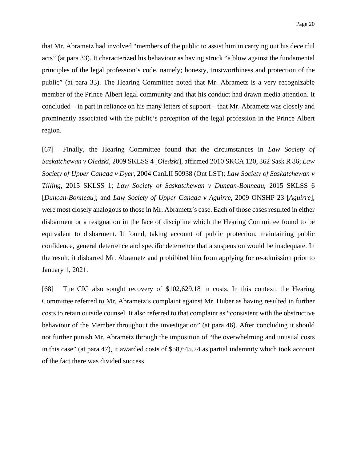that Mr. Abrametz had involved "members of the public to assist him in carrying out his deceitful acts" (at para 33). It characterized his behaviour as having struck "a blow against the fundamental principles of the legal profession's code, namely; honesty, trustworthiness and protection of the public" (at para 33). The Hearing Committee noted that Mr. Abrametz is a very recognizable member of the Prince Albert legal community and that his conduct had drawn media attention. It concluded – in part in reliance on his many letters of support – that Mr. Abrametz was closely and prominently associated with the public's perception of the legal profession in the Prince Albert region.

[67] Finally, the Hearing Committee found that the circumstances in *Law Society of Saskatchewan v Oledzki*, 2009 SKLSS 4 [*Oledzki*], affirmed 2010 SKCA 120, 362 Sask R 86; *Law Society of Upper Canada v Dyer*, 2004 CanLII 50938 (Ont LST); *Law Society of Saskatchewan v Tilling*, 2015 SKLSS 1; *Law Society of Saskatchewan v Duncan-Bonneau*, 2015 SKLSS 6 [*Duncan-Bonneau*]; and *Law Society of Upper Canada v Aguirre*, 2009 ONSHP 23 [*Aguirre*], were most closely analogous to those in Mr. Abrametz's case. Each of those cases resulted in either disbarment or a resignation in the face of discipline which the Hearing Committee found to be equivalent to disbarment. It found, taking account of public protection, maintaining public confidence, general deterrence and specific deterrence that a suspension would be inadequate. In the result, it disbarred Mr. Abrametz and prohibited him from applying for re-admission prior to January 1, 2021.

[68] The CIC also sought recovery of \$102,629.18 in costs. In this context, the Hearing Committee referred to Mr. Abrametz's complaint against Mr. Huber as having resulted in further costs to retain outside counsel. It also referred to that complaint as "consistent with the obstructive behaviour of the Member throughout the investigation" (at para 46). After concluding it should not further punish Mr. Abrametz through the imposition of "the overwhelming and unusual costs in this case" (at para 47), it awarded costs of \$58,645.24 as partial indemnity which took account of the fact there was divided success.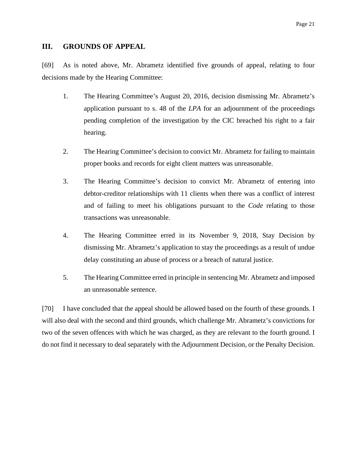#### **III. GROUNDS OF APPEAL**

[69] As is noted above, Mr. Abrametz identified five grounds of appeal, relating to four decisions made by the Hearing Committee:

- 1. The Hearing Committee's August 20, 2016, decision dismissing Mr. Abrametz's application pursuant to s. 48 of the *LPA* for an adjournment of the proceedings pending completion of the investigation by the CIC breached his right to a fair hearing.
- 2. The Hearing Committee's decision to convict Mr. Abrametz for failing to maintain proper books and records for eight client matters was unreasonable.
- 3. The Hearing Committee's decision to convict Mr. Abrametz of entering into debtor-creditor relationships with 11 clients when there was a conflict of interest and of failing to meet his obligations pursuant to the *Code* relating to those transactions was unreasonable.
- 4. The Hearing Committee erred in its November 9, 2018, Stay Decision by dismissing Mr. Abrametz's application to stay the proceedings as a result of undue delay constituting an abuse of process or a breach of natural justice.
- 5. The Hearing Committee erred in principle in sentencing Mr. Abrametz and imposed an unreasonable sentence.

[70] I have concluded that the appeal should be allowed based on the fourth of these grounds. I will also deal with the second and third grounds, which challenge Mr. Abrametz's convictions for two of the seven offences with which he was charged, as they are relevant to the fourth ground. I do not find it necessary to deal separately with the Adjournment Decision, or the Penalty Decision.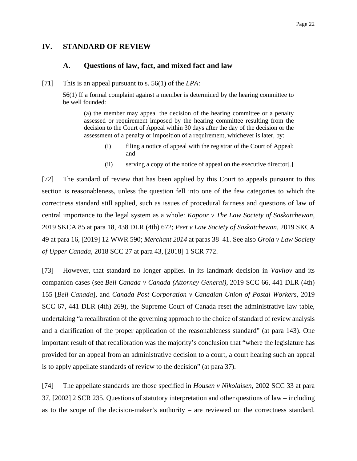### **IV. STANDARD OF REVIEW**

#### **A. Questions of law, fact, and mixed fact and law**

[71] This is an appeal pursuant to s. 56(1) of the *LPA*:

56(1) If a formal complaint against a member is determined by the hearing committee to be well founded:

(a) the member may appeal the decision of the hearing committee or a penalty assessed or requirement imposed by the hearing committee resulting from the decision to the Court of Appeal within 30 days after the day of the decision or the assessment of a penalty or imposition of a requirement, whichever is later, by:

- (i) filing a notice of appeal with the registrar of the Court of Appeal; and
- (ii) serving a copy of the notice of appeal on the executive director[.]

[72] The standard of review that has been applied by this Court to appeals pursuant to this section is reasonableness, unless the question fell into one of the few categories to which the correctness standard still applied, such as issues of procedural fairness and questions of law of central importance to the legal system as a whole: *Kapoor v The Law Society of Saskatchewan*, 2019 SKCA 85 at para 18, 438 DLR (4th) 672; *Peet v Law Society of Saskatchewan*, 2019 SKCA 49 at para 16, [2019] 12 WWR 590; *Merchant 2014* at paras 38–41. See also *Groia v Law Society of Upper Canada*, 2018 SCC 27 at para 43, [2018] 1 SCR 772.

[73] However, that standard no longer applies. In its landmark decision in *Vavilov* and its companion cases (see *Bell Canada v Canada (Attorney General)*, 2019 SCC 66, 441 DLR (4th) 155 [*Bell Canada*], and *Canada Post Corporation v Canadian Union of Postal Workers*, 2019 SCC 67, 441 DLR (4th) 269), the Supreme Court of Canada reset the administrative law table, undertaking "a recalibration of the governing approach to the choice of standard of review analysis and a clarification of the proper application of the reasonableness standard" (at para 143). One important result of that recalibration was the majority's conclusion that "where the legislature has provided for an appeal from an administrative decision to a court, a court hearing such an appeal is to apply appellate standards of review to the decision" (at para 37).

[74] The appellate standards are those specified in *Housen v Nikolaisen*, 2002 SCC 33 at para 37, [2002] 2 SCR 235. Questions of statutory interpretation and other questions of law – including as to the scope of the decision-maker's authority – are reviewed on the correctness standard.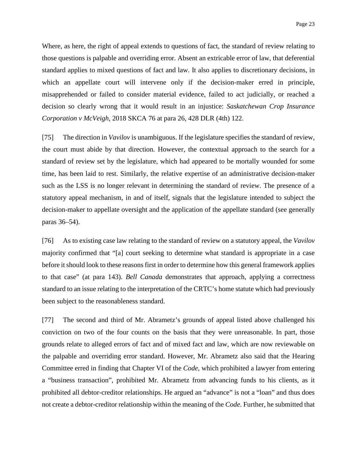Where, as here, the right of appeal extends to questions of fact, the standard of review relating to those questions is palpable and overriding error. Absent an extricable error of law, that deferential standard applies to mixed questions of fact and law. It also applies to discretionary decisions, in which an appellate court will intervene only if the decision-maker erred in principle, misapprehended or failed to consider material evidence, failed to act judicially, or reached a decision so clearly wrong that it would result in an injustice: *Saskatchewan Crop Insurance Corporation v McVeigh*, 2018 SKCA 76 at para 26, 428 DLR (4th) 122.

[75] The direction in *Vavilov* is unambiguous. If the legislature specifies the standard of review, the court must abide by that direction. However, the contextual approach to the search for a standard of review set by the legislature, which had appeared to be mortally wounded for some time, has been laid to rest. Similarly, the relative expertise of an administrative decision-maker such as the LSS is no longer relevant in determining the standard of review. The presence of a statutory appeal mechanism, in and of itself, signals that the legislature intended to subject the decision-maker to appellate oversight and the application of the appellate standard (see generally paras 36–54).

[76] As to existing case law relating to the standard of review on a statutory appeal, the *Vavilov* majority confirmed that "[a] court seeking to determine what standard is appropriate in a case before it should look to these reasons first in order to determine how this general framework applies to that case" (at para 143). *Bell Canada* demonstrates that approach, applying a correctness standard to an issue relating to the interpretation of the CRTC's home statute which had previously been subject to the reasonableness standard.

[77] The second and third of Mr. Abrametz's grounds of appeal listed above challenged his conviction on two of the four counts on the basis that they were unreasonable. In part, those grounds relate to alleged errors of fact and of mixed fact and law, which are now reviewable on the palpable and overriding error standard. However, Mr. Abrametz also said that the Hearing Committee erred in finding that Chapter VI of the *Code*, which prohibited a lawyer from entering a "business transaction", prohibited Mr. Abrametz from advancing funds to his clients, as it prohibited all debtor-creditor relationships. He argued an "advance" is not a "loan" and thus does not create a debtor-creditor relationship within the meaning of the *Code*. Further, he submitted that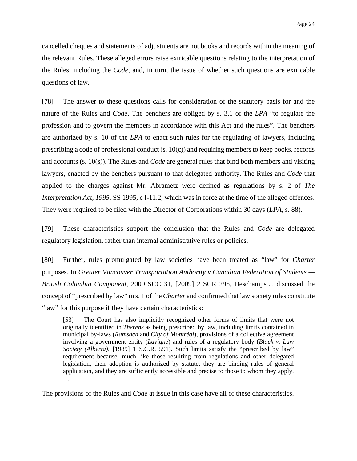cancelled cheques and statements of adjustments are not books and records within the meaning of the relevant Rules. These alleged errors raise extricable questions relating to the interpretation of the Rules, including the *Code*, and, in turn, the issue of whether such questions are extricable questions of law.

[78] The answer to these questions calls for consideration of the statutory basis for and the nature of the Rules and *Code*. The benchers are obliged by s. 3.1 of the *LPA* "to regulate the profession and to govern the members in accordance with this Act and the rules". The benchers are authorized by s. 10 of the *LPA* to enact such rules for the regulating of lawyers, including prescribing a code of professional conduct (s. 10(c)) and requiring members to keep books, records and accounts (s. 10(s)). The Rules and *Code* are general rules that bind both members and visiting lawyers, enacted by the benchers pursuant to that delegated authority. The Rules and *Code* that applied to the charges against Mr. Abrametz were defined as regulations by s. 2 of *The Interpretation Act, 1995*, SS 1995, c I-11.2, which was in force at the time of the alleged offences. They were required to be filed with the Director of Corporations within 30 days (*LPA*, s. 88).

[79] These characteristics support the conclusion that the Rules and *Code* are delegated regulatory legislation, rather than internal administrative rules or policies.

[80] Further, rules promulgated by law societies have been treated as "law" for *Charter*  purposes. In *Greater Vancouver Transportation Authority v Canadian Federation of Students — British Columbia Component*, 2009 SCC 31, [2009] 2 SCR 295, Deschamps J. discussed the concept of "prescribed by law" in s. 1 of the *Charter* and confirmed that law society rules constitute "law" for this purpose if they have certain characteristics:

[53] The Court has also implicitly recognized other forms of limits that were not originally identified in *Therens* as being prescribed by law, including limits contained in municipal by-laws (*Ramsden* and *City of Montréal*), provisions of a collective agreement involving a government entity (*Lavigne*) and rules of a regulatory body (*Black v. Law Society (Alberta)*, [1989] 1 S.C.R. 591). Such limits satisfy the "prescribed by law" requirement because, much like those resulting from regulations and other delegated legislation, their adoption is authorized by statute, they are binding rules of general application, and they are sufficiently accessible and precise to those to whom they apply. …

The provisions of the Rules and *Code* at issue in this case have all of these characteristics.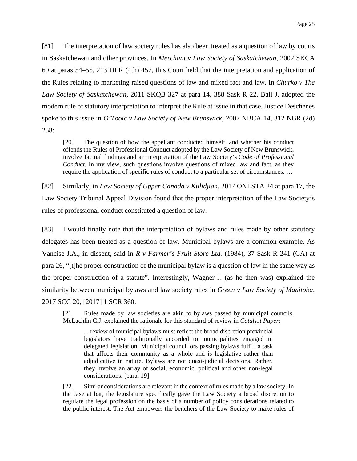[81] The interpretation of law society rules has also been treated as a question of law by courts in Saskatchewan and other provinces. In *Merchant v Law Society of Saskatchewan*, 2002 SKCA 60 at paras 54–55, 213 DLR (4th) 457, this Court held that the interpretation and application of the Rules relating to marketing raised questions of law and mixed fact and law. In *Churko v The Law Society of Saskatchewan*, 2011 SKQB 327 at para 14, 388 Sask R 22, Ball J. adopted the modern rule of statutory interpretation to interpret the Rule at issue in that case. Justice Deschenes spoke to this issue in *O'Toole v Law Society of New Brunswick*, 2007 NBCA 14, 312 NBR (2d) 258:

[20] The question of how the appellant conducted himself, and whether his conduct offends the Rules of Professional Conduct adopted by the Law Society of New Brunswick, involve factual findings and an interpretation of the Law Society's *Code of Professional Conduct*. In my view, such questions involve questions of mixed law and fact, as they require the application of specific rules of conduct to a particular set of circumstances. …

[82] Similarly, in *Law Society of Upper Canada v Kulidjian*, 2017 ONLSTA 24 at para 17, the Law Society Tribunal Appeal Division found that the proper interpretation of the Law Society's rules of professional conduct constituted a question of law.

[83] I would finally note that the interpretation of bylaws and rules made by other statutory delegates has been treated as a question of law. Municipal bylaws are a common example. As Vancise J.A., in dissent, said in *R v Farmer's Fruit Store Ltd.* (1984), 37 Sask R 241 (CA) at para 26, "[t]he proper construction of the municipal bylaw is a question of law in the same way as the proper construction of a statute". Interestingly, Wagner J. (as he then was) explained the similarity between municipal bylaws and law society rules in *Green v Law Society of Manitoba*, 2017 SCC 20, [2017] 1 SCR 360:

[21] Rules made by law societies are akin to bylaws passed by municipal councils. McLachlin C.J. explained the rationale for this standard of review in *Catalyst Paper*:

... review of municipal bylaws must reflect the broad discretion provincial legislators have traditionally accorded to municipalities engaged in delegated legislation. Municipal councillors passing bylaws fulfill a task that affects their community as a whole and is legislative rather than adjudicative in nature. Bylaws are not quasi-judicial decisions. Rather, they involve an array of social, economic, political and other non-legal considerations. [para. 19]

[22] Similar considerations are relevant in the context of rules made by a law society. In the case at bar, the legislature specifically gave the Law Society a broad discretion to regulate the legal profession on the basis of a number of policy considerations related to the public interest. The Act empowers the benchers of the Law Society to make rules of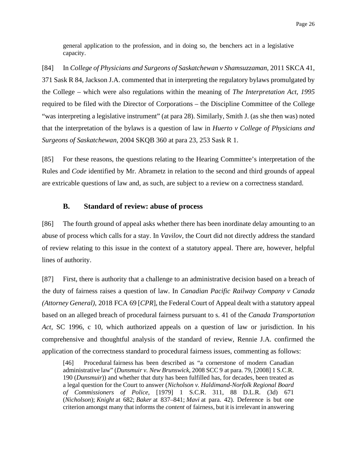general application to the profession, and in doing so, the benchers act in a legislative capacity.

[84] In *College of Physicians and Surgeons of Saskatchewan v Shamsuzzaman*, 2011 SKCA 41, 371 Sask R 84, Jackson J.A. commented that in interpreting the regulatory bylaws promulgated by the College – which were also regulations within the meaning of *The Interpretation Act, 1995* required to be filed with the Director of Corporations – the Discipline Committee of the College "was interpreting a legislative instrument" (at para 28). Similarly, Smith J. (as she then was) noted that the interpretation of the bylaws is a question of law in *Huerto v College of Physicians and Surgeons of Saskatchewan*, 2004 SKQB 360 at para 23, 253 Sask R 1.

[85] For these reasons, the questions relating to the Hearing Committee's interpretation of the Rules and *Code* identified by Mr. Abrametz in relation to the second and third grounds of appeal are extricable questions of law and, as such, are subject to a review on a correctness standard.

## **B. Standard of review: abuse of process**

[86] The fourth ground of appeal asks whether there has been inordinate delay amounting to an abuse of process which calls for a stay. In *Vavilov*, the Court did not directly address the standard of review relating to this issue in the context of a statutory appeal. There are, however, helpful lines of authority.

[87] First, there is authority that a challenge to an administrative decision based on a breach of the duty of fairness raises a question of law. In *Canadian Pacific Railway Company v Canada (Attorney General)*, 2018 FCA 69 [*CPR*], the Federal Court of Appeal dealt with a statutory appeal based on an alleged breach of procedural fairness pursuant to s. 41 of the *Canada Transportation Act*, SC 1996, c 10, which authorized appeals on a question of law or jurisdiction. In his comprehensive and thoughtful analysis of the standard of review, Rennie J.A. confirmed the application of the correctness standard to procedural fairness issues, commenting as follows:

[46] Procedural fairness has been described as "a cornerstone of modern Canadian administrative law" (*Dunsmuir v. New Brunswick*, 2008 SCC 9 at para. 79, [2008] 1 S.C.R. 190 (*Dunsmuir*)) and whether that duty has been fulfilled has, for decades, been treated as a legal question for the Court to answer (*Nicholson v. Haldimand-Norfolk Regional Board of Commissioners of Police*, [1979] 1 S.C.R. 311, 88 D.L.R. (3d) 671 (*Nicholson*); *Knight* at 682; *Baker* at 837–841; *Mavi* at para. 42). Deference is but one criterion amongst many that informs the *content* of fairness, but it is irrelevant in answering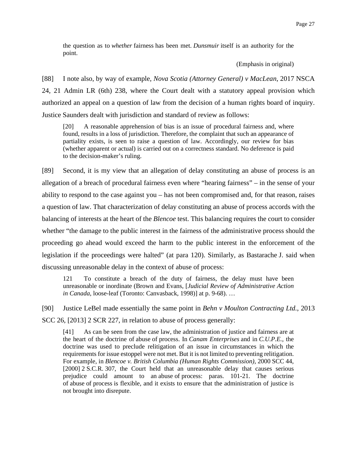the question as to *whether* fairness has been met. *Dunsmuir* itself is an authority for the point.

(Emphasis in original)

[88] I note also, by way of example, *Nova Scotia (Attorney General) v MacLean*, 2017 NSCA 24, 21 Admin LR (6th) 238, where the Court dealt with a statutory appeal provision which authorized an appeal on a question of law from the decision of a human rights board of inquiry. Justice Saunders dealt with jurisdiction and standard of review as follows:

[20] A reasonable apprehension of bias is an issue of procedural fairness and, where found, results in a loss of jurisdiction. Therefore, the complaint that such an appearance of partiality exists, is seen to raise a question of law. Accordingly, our review for bias (whether apparent or actual) is carried out on a correctness standard. No deference is paid to the decision-maker's ruling.

[89] Second, it is my view that an allegation of delay constituting an abuse of process is an allegation of a breach of procedural fairness even where "hearing fairness" – in the sense of your ability to respond to the case against you – has not been compromised and, for that reason, raises a question of law. That characterization of delay constituting an abuse of process accords with the balancing of interests at the heart of the *Blencoe* test. This balancing requires the court to consider whether "the damage to the public interest in the fairness of the administrative process should the proceeding go ahead would exceed the harm to the public interest in the enforcement of the legislation if the proceedings were halted" (at para 120). Similarly, as Bastarache J. said when discussing unreasonable delay in the context of abuse of process:

121 To constitute a breach of the duty of fairness, the delay must have been unreasonable or inordinate (Brown and Evans, [*Judicial Review of Administrative Action in Canada*, loose-leaf (Toronto: Canvasback, 1998)] at p. 9-68). …

[90] Justice LeBel made essentially the same point in *Behn v Moulton Contracting Ltd.*, 2013

SCC 26, [2013] 2 SCR 227, in relation to abuse of process generally:

[41] As can be seen from the case law, the administration of justice and fairness are at the heart of the doctrine of abuse of process. In *Canam Enterprises* and in *C.U.P.E.*, the doctrine was used to preclude relitigation of an issue in circumstances in which the requirements for issue estoppel were not met. But it is not limited to preventing relitigation. For example, in *Blencoe v. British Columbia (Human Rights Commission)*, 2000 SCC 44, [2000] 2 S.C.R. 307, the Court held that an unreasonable delay that causes serious prejudice could amount to an abuse of process: paras. 101-21. The doctrine of abuse of process is flexible, and it exists to ensure that the administration of justice is not brought into disrepute.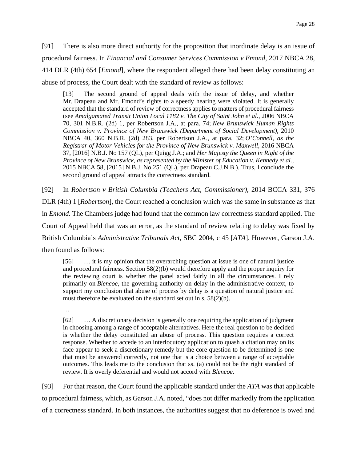[91] There is also more direct authority for the proposition that inordinate delay is an issue of procedural fairness. In *Financial and Consumer Services Commission v Emond*, 2017 NBCA 28, 414 DLR (4th) 654 [*Emond*], where the respondent alleged there had been delay constituting an abuse of process, the Court dealt with the standard of review as follows:

[13] The second ground of appeal deals with the issue of delay, and whether Mr. Drapeau and Mr. Emond's rights to a speedy hearing were violated. It is generally accepted that the standard of review of correctness applies to matters of procedural fairness (see *Amalgamated Transit Union Local 1182 v. The City of Saint John et al.*, 2006 NBCA 70, 301 N.B.R. (2d) 1, per Robertson J.A., at para. 74; *New Brunswick Human Rights Commission v. Province of New Brunswick (Department of Social Development)*, 2010 NBCA 40, 360 N.B.R. (2d) 283, per Robertson J.A., at para. 32; *O'Connell, as the Registrar of Motor Vehicles for the Province of New Brunswick v. Maxwell*, 2016 NBCA 37, [2016] N.B.J. No 157 (QL), per Quigg J.A.; and *Her Majesty the Queen in Right of the Province of New Brunswick, as represented by the Minister of Education v. Kennedy et al.*, 2015 NBCA 58, [2015] N.B.J. No 251 (QL), per Drapeau C.J.N.B.). Thus, I conclude the second ground of appeal attracts the correctness standard.

[92] In *Robertson v British Columbia (Teachers Act, Commissioner)*, 2014 BCCA 331, 376 DLR (4th) 1 [*Robertson*], the Court reached a conclusion which was the same in substance as that in *Emond*. The Chambers judge had found that the common law correctness standard applied. The Court of Appeal held that was an error, as the standard of review relating to delay was fixed by British Columbia's *Administrative Tribunals Act*, SBC 2004, c 45 [*ATA*]. However, Garson J.A. then found as follows:

[56] … it is my opinion that the overarching question at issue is one of natural justice and procedural fairness. Section 58(2)(b) would therefore apply and the proper inquiry for the reviewing court is whether the panel acted fairly in all the circumstances. I rely primarily on *Blencoe*, the governing authority on delay in the administrative context, to support my conclusion that abuse of process by delay is a question of natural justice and must therefore be evaluated on the standard set out in s. 58(2)(b).

…

[62] … A discretionary decision is generally one requiring the application of judgment in choosing among a range of acceptable alternatives. Here the real question to be decided is whether the delay constituted an abuse of process. This question requires a correct response. Whether to accede to an interlocutory application to quash a citation may on its face appear to seek a discretionary remedy but the core question to be determined is one that must be answered correctly, not one that is a choice between a range of acceptable outcomes. This leads me to the conclusion that ss. (a) could not be the right standard of review. It is overly deferential and would not accord with *Blencoe*.

[93] For that reason, the Court found the applicable standard under the *ATA* was that applicable to procedural fairness, which, as Garson J.A. noted, "does not differ markedly from the application of a correctness standard. In both instances, the authorities suggest that no deference is owed and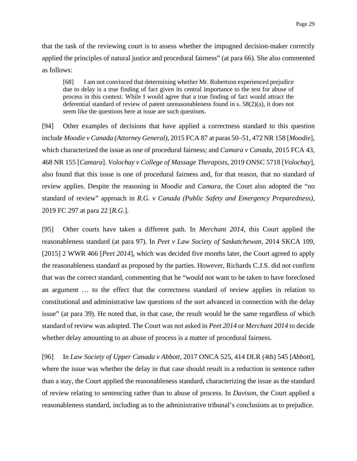that the task of the reviewing court is to assess whether the impugned decision-maker correctly applied the principles of natural justice and procedural fairness" (at para 66). She also commented as follows:

[68] I am not convinced that determining whether Mr. Robertson experienced prejudice due to delay is a true finding of fact given its central importance to the test for abuse of process in this context. While I would agree that a true finding of fact would attract the deferential standard of review of patent unreasonableness found in s. 58(2)(a), it does not seem like the questions here at issue are such questions.

[94] Other examples of decisions that have applied a correctness standard to this question include *Moodie v Canada (Attorney General)*, 2015 FCA 87 at paras 50–51, 472 NR 158 [*Moodie*], which characterized the issue as one of procedural fairness; and *Camara v Canada*, 2015 FCA 43, 468 NR 155 [*Camara*]. *Volochay v College of Massage Therapists*, 2019 ONSC 5718 [*Volochay*], also found that this issue is one of procedural fairness and, for that reason, that no standard of review applies. Despite the reasoning in *Moodie* and *Camara*, the Court also adopted the "no standard of review" approach in *R.G. v Canada (Public Safety and Emergency Preparedness)*, 2019 FC 297 at para 22 [*R.G.*].

[95] Other courts have taken a different path. In *Merchant 2014*, this Court applied the reasonableness standard (at para 97). In *Peet v Law Society of Saskatchewan*, 2014 SKCA 109, [2015] 2 WWR 466 [*Peet 2014*], which was decided five months later, the Court agreed to apply the reasonableness standard as proposed by the parties. However, Richards C.J.S. did not confirm that was the correct standard, commenting that he "would not want to be taken to have foreclosed an argument … to the effect that the correctness standard of review applies in relation to constitutional and administrative law questions of the sort advanced in connection with the delay issue" (at para 39). He noted that, in that case, the result would be the same regardless of which standard of review was adopted. The Court was not asked in *Peet 2014* or *Merchant 2014* to decide whether delay amounting to an abuse of process is a matter of procedural fairness.

[96] In *Law Society of Upper Canada v Abbott*, 2017 ONCA 525, 414 DLR (4th) 545 [*Abbott*], where the issue was whether the delay in that case should result in a reduction in sentence rather than a stay, the Court applied the reasonableness standard, characterizing the issue as the standard of review relating to sentencing rather than to abuse of process. In *Davison*, the Court applied a reasonableness standard, including as to the administrative tribunal's conclusions as to prejudice.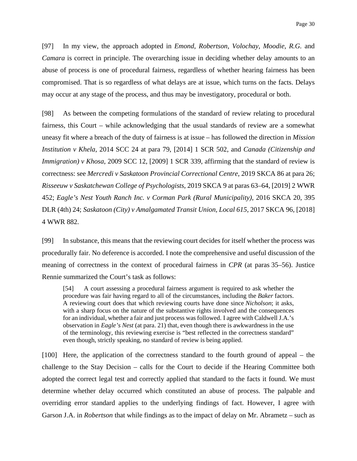[97] In my view, the approach adopted in *Emond*, *Robertson*, *Volochay*, *Moodie, R.G.* and *Camara* is correct in principle. The overarching issue in deciding whether delay amounts to an abuse of process is one of procedural fairness, regardless of whether hearing fairness has been compromised. That is so regardless of what delays are at issue, which turns on the facts. Delays may occur at any stage of the process, and thus may be investigatory, procedural or both.

[98] As between the competing formulations of the standard of review relating to procedural fairness, this Court – while acknowledging that the usual standards of review are a somewhat uneasy fit where a breach of the duty of fairness is at issue – has followed the direction in *Mission Institution v Khela*, 2014 SCC 24 at para 79, [2014] 1 SCR 502, and *Canada (Citizenship and Immigration) v Khosa*, 2009 SCC 12, [2009] 1 SCR 339, affirming that the standard of review is correctness: see *Mercredi v Saskatoon Provincial Correctional Centre*, 2019 SKCA 86 at para 26; *Risseeuw v Saskatchewan College of Psychologists*, 2019 SKCA 9 at paras 63–64, [2019] 2 WWR 452; *Eagle's Nest Youth Ranch Inc. v Corman Park (Rural Municipality)*, 2016 SKCA 20, 395 DLR (4th) 24; *Saskatoon (City) v Amalgamated Transit Union, Local 615*, 2017 SKCA 96, [2018] 4 WWR 882.

[99] In substance, this means that the reviewing court decides for itself whether the process was procedurally fair. No deference is accorded. I note the comprehensive and useful discussion of the meaning of correctness in the context of procedural fairness in *CPR* (at paras 35–56). Justice Rennie summarized the Court's task as follows:

[54] A court assessing a procedural fairness argument is required to ask whether the procedure was fair having regard to all of the circumstances, including the *Baker* factors. A reviewing court does that which reviewing courts have done since *Nicholson*; it asks, with a sharp focus on the nature of the substantive rights involved and the consequences for an individual, whether a fair and just process was followed. I agree with Caldwell J.A.'s observation in *Eagle's Nest* (at para. 21) that, even though there is awkwardness in the use of the terminology, this reviewing exercise is "best reflected in the correctness standard" even though, strictly speaking, no standard of review is being applied.

[100] Here, the application of the correctness standard to the fourth ground of appeal – the challenge to the Stay Decision – calls for the Court to decide if the Hearing Committee both adopted the correct legal test and correctly applied that standard to the facts it found. We must determine whether delay occurred which constituted an abuse of process. The palpable and overriding error standard applies to the underlying findings of fact. However, I agree with Garson J.A. in *Robertson* that while findings as to the impact of delay on Mr. Abrametz – such as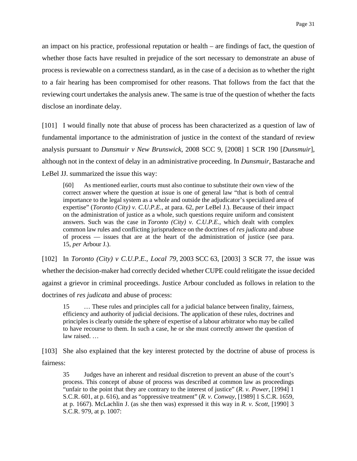an impact on his practice, professional reputation or health – are findings of fact, the question of whether those facts have resulted in prejudice of the sort necessary to demonstrate an abuse of process is reviewable on a correctness standard, as in the case of a decision as to whether the right to a fair hearing has been compromised for other reasons. That follows from the fact that the reviewing court undertakes the analysis anew. The same is true of the question of whether the facts disclose an inordinate delay.

[101] I would finally note that abuse of process has been characterized as a question of law of fundamental importance to the administration of justice in the context of the standard of review analysis pursuant to *Dunsmuir v New Brunswick*, 2008 SCC 9, [2008] 1 SCR 190 [*Dunsmuir*], although not in the context of delay in an administrative proceeding. In *Dunsmuir*, Bastarache and LeBel JJ. summarized the issue this way:

[60] As mentioned earlier, courts must also continue to substitute their own view of the correct answer where the question at issue is one of general law "that is both of central importance to the legal system as a whole and outside the adjudicator's specialized area of expertise" (*Toronto (City) v. C.U.P.E.*, at para. 62, *per* LeBel J.). Because of their impact on the administration of justice as a whole, such questions require uniform and consistent answers. Such was the case in *Toronto (City) v. C.U.P.E.*, which dealt with complex common law rules and conflicting jurisprudence on the doctrines of *res judicata* and abuse of process — issues that are at the heart of the administration of justice (see para. 15, *per* Arbour J.).

[102] In *Toronto (City) v C.U.P.E., Local 79*, 2003 SCC 63, [2003] 3 SCR 77, the issue was whether the decision-maker had correctly decided whether CUPE could relitigate the issue decided against a grievor in criminal proceedings. Justice Arbour concluded as follows in relation to the doctrines of *res judicata* and abuse of process:

15 … These rules and principles call for a judicial balance between finality, fairness, efficiency and authority of judicial decisions. The application of these rules, doctrines and principles is clearly outside the sphere of expertise of a labour arbitrator who may be called to have recourse to them. In such a case, he or she must correctly answer the question of law raised. …

[103] She also explained that the key interest protected by the doctrine of abuse of process is fairness:

35 Judges have an inherent and residual discretion to prevent an abuse of the court's process. This concept of abuse of process was described at common law as proceedings "unfair to the point that they are contrary to the interest of justice" (*R. v. Power*, [1994] 1 S.C.R. 601, at p. 616), and as "oppressive treatment" (*R. v. Conway*, [1989] 1 S.C.R. 1659, at p. 1667). McLachlin J. (as she then was) expressed it this way in *R. v. Scott*, [1990] 3 S.C.R. 979, at p. 1007: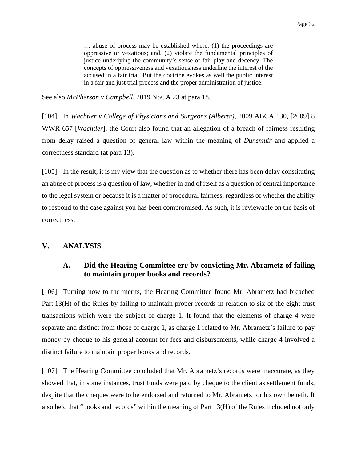… abuse of process may be established where: (1) the proceedings are oppressive or vexatious; and, (2) violate the fundamental principles of justice underlying the community's sense of fair play and decency. The concepts of oppressiveness and vexatiousness underline the interest of the accused in a fair trial. But the doctrine evokes as well the public interest in a fair and just trial process and the proper administration of justice.

See also *McPherson v Campbell*, 2019 NSCA 23 at para 18.

[104] In *Wachtler v College of Physicians and Surgeons (Alberta)*, 2009 ABCA 130, [2009] 8 WWR 657 [*Wachtler*], the Court also found that an allegation of a breach of fairness resulting from delay raised a question of general law within the meaning of *Dunsmuir* and applied a correctness standard (at para 13).

[105] In the result, it is my view that the question as to whether there has been delay constituting an abuse of process is a question of law, whether in and of itself as a question of central importance to the legal system or because it is a matter of procedural fairness, regardless of whether the ability to respond to the case against you has been compromised. As such, it is reviewable on the basis of correctness.

### **V. ANALYSIS**

## **A. Did the Hearing Committee err by convicting Mr. Abrametz of failing to maintain proper books and records?**

[106] Turning now to the merits, the Hearing Committee found Mr. Abrametz had breached Part 13(H) of the Rules by failing to maintain proper records in relation to six of the eight trust transactions which were the subject of charge 1. It found that the elements of charge 4 were separate and distinct from those of charge 1, as charge 1 related to Mr. Abrametz's failure to pay money by cheque to his general account for fees and disbursements, while charge 4 involved a distinct failure to maintain proper books and records.

[107] The Hearing Committee concluded that Mr. Abrametz's records were inaccurate, as they showed that, in some instances, trust funds were paid by cheque to the client as settlement funds, despite that the cheques were to be endorsed and returned to Mr. Abrametz for his own benefit. It also held that "books and records" within the meaning of Part 13(H) of the Rules included not only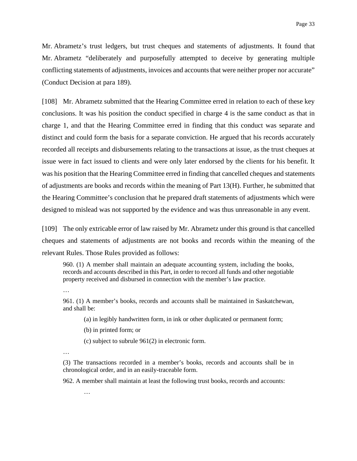Mr. Abrametz's trust ledgers, but trust cheques and statements of adjustments. It found that Mr. Abrametz "deliberately and purposefully attempted to deceive by generating multiple conflicting statements of adjustments, invoices and accounts that were neither proper nor accurate" (Conduct Decision at para 189).

[108] Mr. Abrametz submitted that the Hearing Committee erred in relation to each of these key conclusions. It was his position the conduct specified in charge 4 is the same conduct as that in charge 1, and that the Hearing Committee erred in finding that this conduct was separate and distinct and could form the basis for a separate conviction. He argued that his records accurately recorded all receipts and disbursements relating to the transactions at issue, as the trust cheques at issue were in fact issued to clients and were only later endorsed by the clients for his benefit. It was his position that the Hearing Committee erred in finding that cancelled cheques and statements of adjustments are books and records within the meaning of Part 13(H). Further, he submitted that the Hearing Committee's conclusion that he prepared draft statements of adjustments which were designed to mislead was not supported by the evidence and was thus unreasonable in any event.

[109] The only extricable error of law raised by Mr. Abrametz under this ground is that cancelled cheques and statements of adjustments are not books and records within the meaning of the relevant Rules. Those Rules provided as follows:

960. (1) A member shall maintain an adequate accounting system, including the books, records and accounts described in this Part, in order to record all funds and other negotiable property received and disbursed in connection with the member's law practice.

…

961. (1) A member's books, records and accounts shall be maintained in Saskatchewan, and shall be:

(a) in legibly handwritten form, in ink or other duplicated or permanent form;

- (b) in printed form; or
- (c) subject to subrule 961(2) in electronic form.
- …

…

(3) The transactions recorded in a member's books, records and accounts shall be in chronological order, and in an easily-traceable form.

962. A member shall maintain at least the following trust books, records and accounts: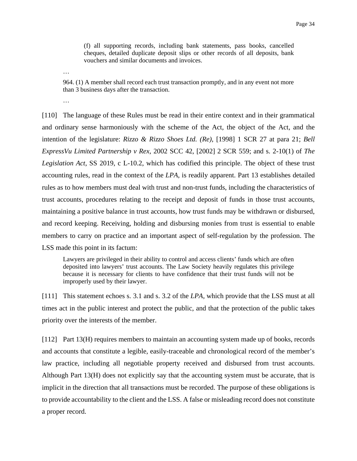(f) all supporting records, including bank statements, pass books, cancelled cheques, detailed duplicate deposit slips or other records of all deposits, bank vouchers and similar documents and invoices.

…

964. (1) A member shall record each trust transaction promptly, and in any event not more than 3 business days after the transaction.

…

[110] The language of these Rules must be read in their entire context and in their grammatical and ordinary sense harmoniously with the scheme of the Act, the object of the Act, and the intention of the legislature: *Rizzo & Rizzo Shoes Ltd. (Re)*, [1998] 1 SCR 27 at para 21; *Bell ExpressVu Limited Partnership v Rex*, 2002 SCC 42, [2002] 2 SCR 559; and s. 2-10(1) of *The Legislation Act*, SS 2019, c L-10.2, which has codified this principle. The object of these trust accounting rules, read in the context of the *LPA*, is readily apparent. Part 13 establishes detailed rules as to how members must deal with trust and non-trust funds, including the characteristics of trust accounts, procedures relating to the receipt and deposit of funds in those trust accounts, maintaining a positive balance in trust accounts, how trust funds may be withdrawn or disbursed, and record keeping. Receiving, holding and disbursing monies from trust is essential to enable members to carry on practice and an important aspect of self-regulation by the profession. The LSS made this point in its factum:

Lawyers are privileged in their ability to control and access clients' funds which are often deposited into lawyers' trust accounts. The Law Society heavily regulates this privilege because it is necessary for clients to have confidence that their trust funds will not be improperly used by their lawyer.

[111] This statement echoes s. 3.1 and s. 3.2 of the *LPA*, which provide that the LSS must at all times act in the public interest and protect the public, and that the protection of the public takes priority over the interests of the member.

[112] Part 13(H) requires members to maintain an accounting system made up of books, records and accounts that constitute a legible, easily-traceable and chronological record of the member's law practice, including all negotiable property received and disbursed from trust accounts. Although Part 13(H) does not explicitly say that the accounting system must be accurate, that is implicit in the direction that all transactions must be recorded. The purpose of these obligations is to provide accountability to the client and the LSS. A false or misleading record does not constitute a proper record.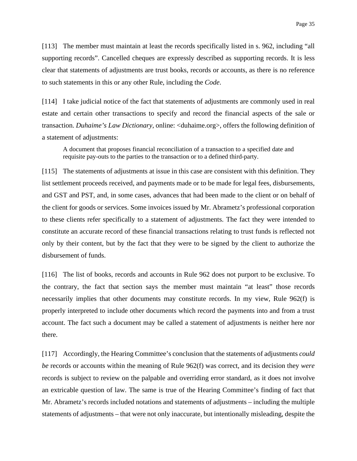[113] The member must maintain at least the records specifically listed in s. 962, including "all supporting records". Cancelled cheques are expressly described as supporting records. It is less clear that statements of adjustments are trust books, records or accounts, as there is no reference to such statements in this or any other Rule, including the *Code*.

[114] I take judicial notice of the fact that statements of adjustments are commonly used in real estate and certain other transactions to specify and record the financial aspects of the sale or transaction. *Duhaime's Law Dictionary*, online: <duhaime.org>, offers the following definition of a statement of adjustments:

A document that proposes financial reconciliation of a transaction to a specified date and requisite pay-outs to the parties to the transaction or to a defined third-party.

[115] The statements of adjustments at issue in this case are consistent with this definition. They list settlement proceeds received, and payments made or to be made for legal fees, disbursements, and GST and PST, and, in some cases, advances that had been made to the client or on behalf of the client for goods or services. Some invoices issued by Mr. Abrametz's professional corporation to these clients refer specifically to a statement of adjustments. The fact they were intended to constitute an accurate record of these financial transactions relating to trust funds is reflected not only by their content, but by the fact that they were to be signed by the client to authorize the disbursement of funds.

[116] The list of books, records and accounts in Rule 962 does not purport to be exclusive. To the contrary, the fact that section says the member must maintain "at least" those records necessarily implies that other documents may constitute records. In my view, Rule 962(f) is properly interpreted to include other documents which record the payments into and from a trust account. The fact such a document may be called a statement of adjustments is neither here nor there.

[117] Accordingly, the Hearing Committee's conclusion that the statements of adjustments *could be* records or accounts within the meaning of Rule 962(f) was correct, and its decision they *were* records is subject to review on the palpable and overriding error standard, as it does not involve an extricable question of law. The same is true of the Hearing Committee's finding of fact that Mr. Abrametz's records included notations and statements of adjustments – including the multiple statements of adjustments – that were not only inaccurate, but intentionally misleading, despite the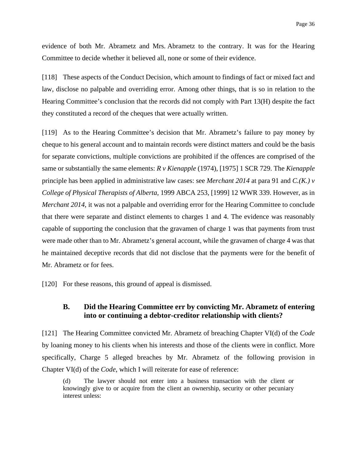evidence of both Mr. Abrametz and Mrs. Abrametz to the contrary. It was for the Hearing Committee to decide whether it believed all, none or some of their evidence.

[118] These aspects of the Conduct Decision, which amount to findings of fact or mixed fact and law, disclose no palpable and overriding error. Among other things, that is so in relation to the Hearing Committee's conclusion that the records did not comply with Part 13(H) despite the fact they constituted a record of the cheques that were actually written.

[119] As to the Hearing Committee's decision that Mr. Abrametz's failure to pay money by cheque to his general account and to maintain records were distinct matters and could be the basis for separate convictions, multiple convictions are prohibited if the offences are comprised of the same or substantially the same elements: *R v Kienapple* (1974), [1975] 1 SCR 729. The *Kienapple* principle has been applied in administrative law cases: see *Merchant 2014* at para 91 and *C.(K.) v College of Physical Therapists of Alberta*, 1999 ABCA 253, [1999] 12 WWR 339. However, as in *Merchant 2014*, it was not a palpable and overriding error for the Hearing Committee to conclude that there were separate and distinct elements to charges 1 and 4. The evidence was reasonably capable of supporting the conclusion that the gravamen of charge 1 was that payments from trust were made other than to Mr. Abrametz's general account, while the gravamen of charge 4 was that he maintained deceptive records that did not disclose that the payments were for the benefit of Mr. Abrametz or for fees.

[120] For these reasons, this ground of appeal is dismissed.

### **B. Did the Hearing Committee err by convicting Mr. Abrametz of entering into or continuing a debtor-creditor relationship with clients?**

[121] The Hearing Committee convicted Mr. Abrametz of breaching Chapter VI(d) of the *Code* by loaning money to his clients when his interests and those of the clients were in conflict. More specifically, Charge 5 alleged breaches by Mr. Abrametz of the following provision in Chapter VI(d) of the *Code*, which I will reiterate for ease of reference:

(d) The lawyer should not enter into a business transaction with the client or knowingly give to or acquire from the client an ownership, security or other pecuniary interest unless: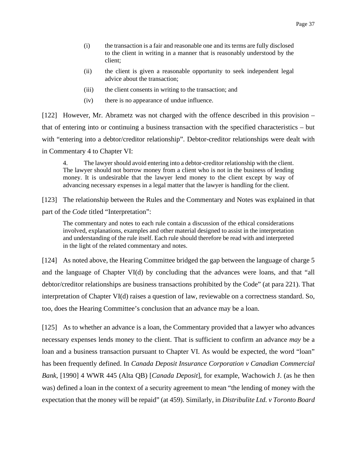- (i) the transaction is a fair and reasonable one and its terms are fully disclosed to the client in writing in a manner that is reasonably understood by the client;
- (ii) the client is given a reasonable opportunity to seek independent legal advice about the transaction;
- (iii) the client consents in writing to the transaction; and
- (iv) there is no appearance of undue influence.

[122] However, Mr. Abrametz was not charged with the offence described in this provision – that of entering into or continuing a business transaction with the specified characteristics – but with "entering into a debtor/creditor relationship". Debtor-creditor relationships were dealt with in Commentary 4 to Chapter VI:

4. The lawyer should avoid entering into a debtor-creditor relationship with the client. The lawyer should not borrow money from a client who is not in the business of lending money. It is undesirable that the lawyer lend money to the client except by way of advancing necessary expenses in a legal matter that the lawyer is handling for the client.

[123] The relationship between the Rules and the Commentary and Notes was explained in that part of the *Code* titled "Interpretation":

The commentary and notes to each rule contain a discussion of the ethical considerations involved, explanations, examples and other material designed to assist in the interpretation and understanding of the rule itself. Each rule should therefore be read with and interpreted in the light of the related commentary and notes.

[124] As noted above, the Hearing Committee bridged the gap between the language of charge 5 and the language of Chapter VI(d) by concluding that the advances were loans, and that "all debtor/creditor relationships are business transactions prohibited by the Code" (at para 221). That interpretation of Chapter VI(d) raises a question of law, reviewable on a correctness standard. So, too, does the Hearing Committee's conclusion that an advance may be a loan.

[125] As to whether an advance is a loan, the Commentary provided that a lawyer who advances necessary expenses lends money to the client. That is sufficient to confirm an advance *may* be a loan and a business transaction pursuant to Chapter VI. As would be expected, the word "loan" has been frequently defined. In *Canada Deposit Insurance Corporation v Canadian Commercial Bank*, [1990] 4 WWR 445 (Alta QB) [*Canada Deposit*], for example, Wachowich J. (as he then was) defined a loan in the context of a security agreement to mean "the lending of money with the expectation that the money will be repaid" (at 459). Similarly, in *Distribulite Ltd. v Toronto Board*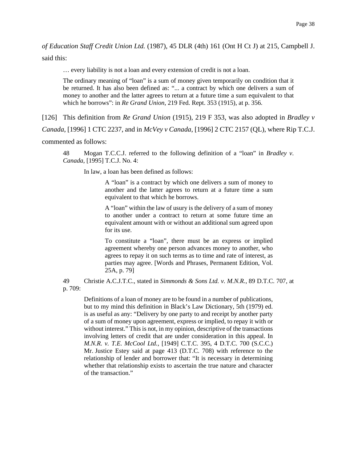*of Education Staff Credit Union Ltd.* (1987), 45 DLR (4th) 161 (Ont H Ct J) at 215, Campbell J. said this:

… every liability is not a loan and every extension of credit is not a loan.

The ordinary meaning of "loan" is a sum of money given temporarily on condition that it be returned. It has also been defined as: "... a contract by which one delivers a sum of money to another and the latter agrees to return at a future time a sum equivalent to that which he borrows": in *Re Grand Union*, 219 Fed. Rept. 353 (1915), at p. 356.

[126] This definition from *Re Grand Union* (1915), 219 F 353, was also adopted in *Bradley v* 

*Canada*, [1996] 1 CTC 2237, and in *McVey v Canada*, [1996] 2 CTC 2157 (QL), where Rip T.C.J.

commented as follows:

48 Mogan T.C.C.J. referred to the following definition of a "loan" in *Bradley v. Canada*, [1995] T.C.J. No. 4:

In law, a loan has been defined as follows:

A "loan" is a contract by which one delivers a sum of money to another and the latter agrees to return at a future time a sum equivalent to that which he borrows.

A "loan" within the law of usury is the delivery of a sum of money to another under a contract to return at some future time an equivalent amount with or without an additional sum agreed upon for its use.

To constitute a "loan", there must be an express or implied agreement whereby one person advances money to another, who agrees to repay it on such terms as to time and rate of interest, as parties may agree. [Words and Phrases, Permanent Edition, Vol. 25A, p. 79]

49 Christie A.C.J.T.C., stated in *Simmonds & Sons Ltd. v. M.N.R.*, 89 D.T.C. 707, at p. 709:

Definitions of a loan of money are to be found in a number of publications, but to my mind this definition in Black's Law Dictionary, 5th (1979) ed. is as useful as any: "Delivery by one party to and receipt by another party of a sum of money upon agreement, express or implied, to repay it with or without interest." This is not, in my opinion, descriptive of the transactions involving letters of credit that are under consideration in this appeal. In *M.N.R. v. T.E. McCool Ltd.*, [1949] C.T.C. 395, 4 D.T.C. 700 (S.C.C.) Mr. Justice Estey said at page 413 (D.T.C. 708) with reference to the relationship of lender and borrower that: "It is necessary in determining whether that relationship exists to ascertain the true nature and character of the transaction."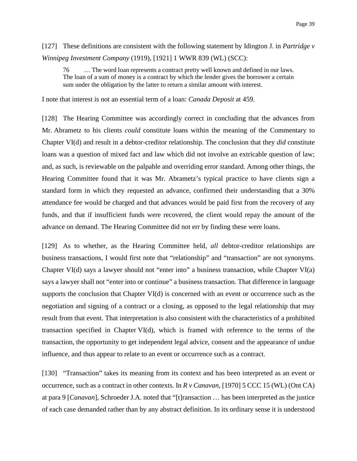## [127] These definitions are consistent with the following statement by Idington J. in *Partridge v Winnipeg Investment Company* (1919), [1921] 1 WWR 839 (WL) (SCC):

76 … The word loan represents a contract pretty well known and defined in our laws. The loan of a sum of money is a contract by which the lender gives the borrower a certain sum under the obligation by the latter to return a similar amount with interest.

I note that interest is not an essential term of a loan: *Canada Deposit* at 459.

[128] The Hearing Committee was accordingly correct in concluding that the advances from Mr. Abrametz to his clients *could* constitute loans within the meaning of the Commentary to Chapter VI(d) and result in a debtor-creditor relationship. The conclusion that they *did* constitute loans was a question of mixed fact and law which did not involve an extricable question of law; and, as such, is reviewable on the palpable and overriding error standard. Among other things, the Hearing Committee found that it was Mr. Abrametz's typical practice to have clients sign a standard form in which they requested an advance, confirmed their understanding that a 30% attendance fee would be charged and that advances would be paid first from the recovery of any funds, and that if insufficient funds were recovered, the client would repay the amount of the advance on demand. The Hearing Committee did not err by finding these were loans.

[129] As to whether, as the Hearing Committee held, *all* debtor-creditor relationships are business transactions, I would first note that "relationship" and "transaction" are not synonyms. Chapter VI(d) says a lawyer should not "enter into" a business transaction, while Chapter VI(a) says a lawyer shall not "enter into or continue" a business transaction. That difference in language supports the conclusion that Chapter VI(d) is concerned with an event or occurrence such as the negotiation and signing of a contract or a closing, as opposed to the legal relationship that may result from that event. That interpretation is also consistent with the characteristics of a prohibited transaction specified in Chapter VI(d), which is framed with reference to the terms of the transaction, the opportunity to get independent legal advice, consent and the appearance of undue influence, and thus appear to relate to an event or occurrence such as a contract.

[130] "Transaction" takes its meaning from its context and has been interpreted as an event or occurrence, such as a contract in other contexts. In *R v Canavan*, [1970] 5 CCC 15 (WL) (Ont CA) at para 9 [*Canavan*], Schroeder J.A. noted that "[t]ransaction … has been interpreted as the justice of each case demanded rather than by any abstract definition. In its ordinary sense it is understood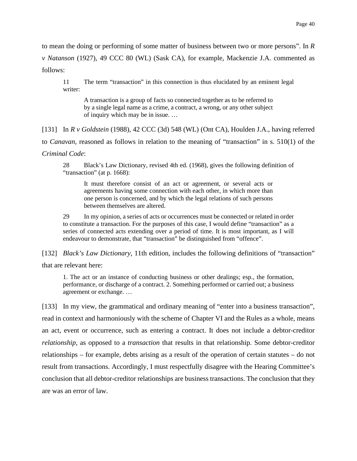to mean the doing or performing of some matter of business between two or more persons". In *R v Natanson* (1927), 49 CCC 80 (WL) (Sask CA), for example, Mackenzie J.A. commented as follows:

11 The term "transaction" in this connection is thus elucidated by an eminent legal writer:

A transaction is a group of facts so connected together as to be referred to by a single legal name as a crime, a contract, a wrong, or any other subject of inquiry which may be in issue. …

[131] In *R v Goldstein* (1988), 42 CCC (3d) 548 (WL) (Ont CA), Houlden J.A., having referred to *Canavan*, reasoned as follows in relation to the meaning of "transaction" in s. 510(1) of the

*Criminal Code*:

28 Black's Law Dictionary, revised 4th ed. (1968), gives the following definition of "transaction" (at p. 1668):

It must therefore consist of an act or agreement, or several acts or agreements having some connection with each other, in which more than one person is concerned, and by which the legal relations of such persons between themselves are altered.

29 In my opinion, a series of acts or occurrences must be connected or related in order to constitute a transaction. For the purposes of this case, I would define "transaction" as a series of connected acts extending over a period of time. It is most important, as I will endeavour to demonstrate, that "transaction" be distinguished from "offence".

[132] *Black's Law Dictionary*, 11th edition, includes the following definitions of "transaction" that are relevant here:

1. The act or an instance of conducting business or other dealings; esp., the formation, performance, or discharge of a contract. 2. Something performed or carried out; a business agreement or exchange. …

[133] In my view, the grammatical and ordinary meaning of "enter into a business transaction", read in context and harmoniously with the scheme of Chapter VI and the Rules as a whole, means an act, event or occurrence, such as entering a contract. It does not include a debtor-creditor *relationship*, as opposed to a *transaction* that results in that relationship. Some debtor-creditor relationships – for example, debts arising as a result of the operation of certain statutes – do not result from transactions. Accordingly, I must respectfully disagree with the Hearing Committee's conclusion that all debtor-creditor relationships are business transactions. The conclusion that they are was an error of law.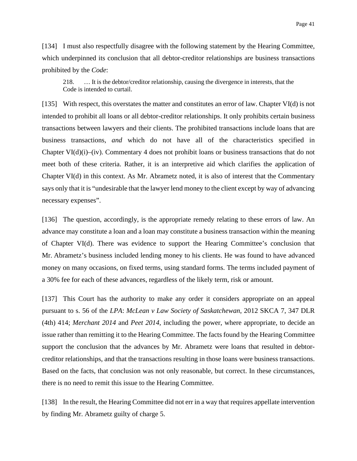[134] I must also respectfully disagree with the following statement by the Hearing Committee, which underpinned its conclusion that all debtor-creditor relationships are business transactions prohibited by the *Code*:

218. … It is the debtor/creditor relationship, causing the divergence in interests, that the Code is intended to curtail.

[135] With respect, this overstates the matter and constitutes an error of law. Chapter VI(d) is not intended to prohibit all loans or all debtor-creditor relationships. It only prohibits certain business transactions between lawyers and their clients. The prohibited transactions include loans that are business transactions, *and* which do not have all of the characteristics specified in Chapter  $VI(d)(i)$ –(iv). Commentary 4 does not prohibit loans or business transactions that do not meet both of these criteria. Rather, it is an interpretive aid which clarifies the application of Chapter VI(d) in this context. As Mr. Abrametz noted, it is also of interest that the Commentary says only that it is "undesirable that the lawyer lend money to the client except by way of advancing necessary expenses".

[136] The question, accordingly, is the appropriate remedy relating to these errors of law. An advance may constitute a loan and a loan may constitute a business transaction within the meaning of Chapter VI(d). There was evidence to support the Hearing Committee's conclusion that Mr. Abrametz's business included lending money to his clients. He was found to have advanced money on many occasions, on fixed terms, using standard forms. The terms included payment of a 30% fee for each of these advances, regardless of the likely term, risk or amount.

[137] This Court has the authority to make any order it considers appropriate on an appeal pursuant to s. 56 of the *LPA*: *McLean v Law Society of Saskatchewan*, 2012 SKCA 7, 347 DLR (4th) 414; *Merchant 2014* and *Peet 2014*, including the power, where appropriate, to decide an issue rather than remitting it to the Hearing Committee. The facts found by the Hearing Committee support the conclusion that the advances by Mr. Abrametz were loans that resulted in debtorcreditor relationships, and that the transactions resulting in those loans were business transactions. Based on the facts, that conclusion was not only reasonable, but correct. In these circumstances, there is no need to remit this issue to the Hearing Committee.

[138] In the result, the Hearing Committee did not err in a way that requires appellate intervention by finding Mr. Abrametz guilty of charge 5.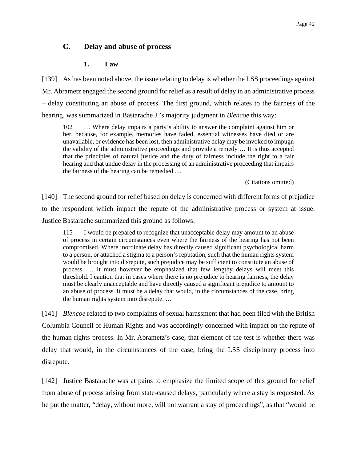## **C. Delay and abuse of process**

### **1. Law**

[139] As has been noted above, the issue relating to delay is whether the LSS proceedings against Mr. Abrametz engaged the second ground for relief as a result of delay in an administrative process – delay constituting an abuse of process. The first ground, which relates to the fairness of the hearing, was summarized in Bastarache J.'s majority judgment in *Blencoe* this way:

102 … Where delay impairs a party's ability to answer the complaint against him or her, because, for example, memories have faded, essential witnesses have died or are unavailable, or evidence has been lost, then administrative delay may be invoked to impugn the validity of the administrative proceedings and provide a remedy … It is thus accepted that the principles of natural justice and the duty of fairness include the right to a fair hearing and that undue delay in the processing of an administrative proceeding that impairs the fairness of the hearing can be remedied …

(Citations omitted)

[140] The second ground for relief based on delay is concerned with different forms of prejudice to the respondent which impact the repute of the administrative process or system at issue. Justice Bastarache summarized this ground as follows:

115 I would be prepared to recognize that unacceptable delay may amount to an abuse of process in certain circumstances even where the fairness of the hearing has not been compromised. Where inordinate delay has directly caused significant psychological harm to a person, or attached a stigma to a person's reputation, such that the human rights system would be brought into disrepute, such prejudice may be sufficient to constitute an abuse of process. … It must however be emphasized that few lengthy delays will meet this threshold. I caution that in cases where there is no prejudice to hearing fairness, the delay must be clearly unacceptable and have directly caused a significant prejudice to amount to an abuse of process. It must be a delay that would, in the circumstances of the case, bring the human rights system into disrepute. …

[141] *Blencoe* related to two complaints of sexual harassment that had been filed with the British Columbia Council of Human Rights and was accordingly concerned with impact on the repute of the human rights process. In Mr. Abrametz's case, that element of the test is whether there was delay that would, in the circumstances of the case, bring the LSS disciplinary process into disrepute.

[142] Justice Bastarache was at pains to emphasize the limited scope of this ground for relief from abuse of process arising from state-caused delays, particularly where a stay is requested. As he put the matter, "delay, without more, will not warrant a stay of proceedings", as that "would be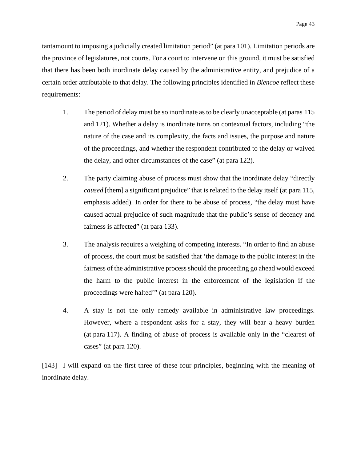tantamount to imposing a judicially created limitation period" (at para 101). Limitation periods are the province of legislatures, not courts. For a court to intervene on this ground, it must be satisfied that there has been both inordinate delay caused by the administrative entity, and prejudice of a certain order attributable to that delay. The following principles identified in *Blencoe* reflect these requirements:

- 1. The period of delay must be so inordinate as to be clearly unacceptable (at paras 115 and 121). Whether a delay is inordinate turns on contextual factors, including "the nature of the case and its complexity, the facts and issues, the purpose and nature of the proceedings, and whether the respondent contributed to the delay or waived the delay, and other circumstances of the case" (at para 122).
- 2. The party claiming abuse of process must show that the inordinate delay "directly *caused* [them] a significant prejudice" that is related to the delay itself (at para 115, emphasis added). In order for there to be abuse of process, "the delay must have caused actual prejudice of such magnitude that the public's sense of decency and fairness is affected" (at para 133).
- 3. The analysis requires a weighing of competing interests. "In order to find an abuse of process, the court must be satisfied that 'the damage to the public interest in the fairness of the administrative process should the proceeding go ahead would exceed the harm to the public interest in the enforcement of the legislation if the proceedings were halted'" (at para 120).
- 4. A stay is not the only remedy available in administrative law proceedings. However, where a respondent asks for a stay, they will bear a heavy burden (at para 117). A finding of abuse of process is available only in the "clearest of cases" (at para 120).

[143] I will expand on the first three of these four principles, beginning with the meaning of inordinate delay.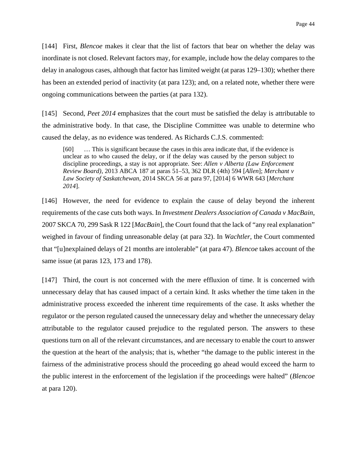[144] First, *Blencoe* makes it clear that the list of factors that bear on whether the delay was inordinate is not closed. Relevant factors may, for example, include how the delay compares to the delay in analogous cases, although that factor has limited weight (at paras 129–130); whether there has been an extended period of inactivity (at para 123); and, on a related note, whether there were ongoing communications between the parties (at para 132).

[145] Second, *Peet 2014* emphasizes that the court must be satisfied the delay is attributable to the administrative body. In that case, the Discipline Committee was unable to determine who caused the delay, as no evidence was tendered. As Richards C.J.S. commented:

[60] … This is significant because the cases in this area indicate that, if the evidence is unclear as to who caused the delay, or if the delay was caused by the person subject to discipline proceedings, a stay is not appropriate. See: *Allen v Alberta (Law Enforcement Review Board)*, 2013 ABCA 187 at paras 51–53, 362 DLR (4th) 594 [*Allen*]; *Merchant v Law Society of Saskatchewan*, 2014 SKCA 56 at para 97, [2014] 6 WWR 643 [*Merchant 2014*].

[146] However, the need for evidence to explain the cause of delay beyond the inherent requirements of the case cuts both ways. In *Investment Dealers Association of Canada v MacBain*, 2007 SKCA 70, 299 Sask R 122 [*MacBain*], the Court found that the lack of "any real explanation" weighed in favour of finding unreasonable delay (at para 32). In *Wachtler*, the Court commented that "[u]nexplained delays of 21 months are intolerable" (at para 47). *Blencoe* takes account of the same issue (at paras 123, 173 and 178).

[147] Third, the court is not concerned with the mere effluxion of time. It is concerned with unnecessary delay that has caused impact of a certain kind. It asks whether the time taken in the administrative process exceeded the inherent time requirements of the case. It asks whether the regulator or the person regulated caused the unnecessary delay and whether the unnecessary delay attributable to the regulator caused prejudice to the regulated person. The answers to these questions turn on all of the relevant circumstances, and are necessary to enable the court to answer the question at the heart of the analysis; that is, whether "the damage to the public interest in the fairness of the administrative process should the proceeding go ahead would exceed the harm to the public interest in the enforcement of the legislation if the proceedings were halted" (*Blencoe* at para 120).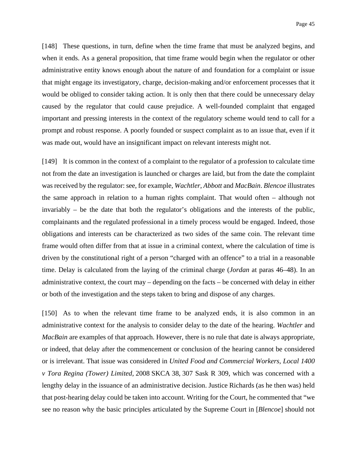[148] These questions, in turn, define when the time frame that must be analyzed begins, and when it ends. As a general proposition, that time frame would begin when the regulator or other administrative entity knows enough about the nature of and foundation for a complaint or issue that might engage its investigatory, charge, decision-making and/or enforcement processes that it would be obliged to consider taking action. It is only then that there could be unnecessary delay caused by the regulator that could cause prejudice. A well-founded complaint that engaged important and pressing interests in the context of the regulatory scheme would tend to call for a prompt and robust response. A poorly founded or suspect complaint as to an issue that, even if it was made out, would have an insignificant impact on relevant interests might not.

[149] It is common in the context of a complaint to the regulator of a profession to calculate time not from the date an investigation is launched or charges are laid, but from the date the complaint was received by the regulator: see, for example, *Wachtler*, *Abbott* and *MacBain*. *Blencoe* illustrates the same approach in relation to a human rights complaint. That would often – although not invariably – be the date that both the regulator's obligations and the interests of the public, complainants and the regulated professional in a timely process would be engaged. Indeed, those obligations and interests can be characterized as two sides of the same coin. The relevant time frame would often differ from that at issue in a criminal context, where the calculation of time is driven by the constitutional right of a person "charged with an offence" to a trial in a reasonable time. Delay is calculated from the laying of the criminal charge (*Jordan* at paras 46–48). In an administrative context, the court may – depending on the facts – be concerned with delay in either or both of the investigation and the steps taken to bring and dispose of any charges.

[150] As to when the relevant time frame to be analyzed ends, it is also common in an administrative context for the analysis to consider delay to the date of the hearing. *Wachtler* and *MacBain* are examples of that approach. However, there is no rule that date is always appropriate, or indeed, that delay after the commencement or conclusion of the hearing cannot be considered or is irrelevant. That issue was considered in *United Food and Commercial Workers, Local 1400 v Tora Regina (Tower) Limited*, 2008 SKCA 38, 307 Sask R 309, which was concerned with a lengthy delay in the issuance of an administrative decision. Justice Richards (as he then was) held that post-hearing delay could be taken into account. Writing for the Court, he commented that "we see no reason why the basic principles articulated by the Supreme Court in [*Blencoe*] should not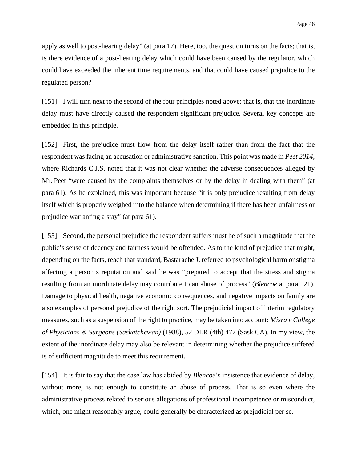apply as well to post-hearing delay" (at para 17). Here, too, the question turns on the facts; that is, is there evidence of a post-hearing delay which could have been caused by the regulator, which could have exceeded the inherent time requirements, and that could have caused prejudice to the regulated person?

[151] I will turn next to the second of the four principles noted above; that is, that the inordinate delay must have directly caused the respondent significant prejudice. Several key concepts are embedded in this principle.

[152] First, the prejudice must flow from the delay itself rather than from the fact that the respondent was facing an accusation or administrative sanction. This point was made in *Peet 2014*, where Richards C.J.S. noted that it was not clear whether the adverse consequences alleged by Mr. Peet "were caused by the complaints themselves or by the delay in dealing with them" (at para 61). As he explained, this was important because "it is only prejudice resulting from delay itself which is properly weighed into the balance when determining if there has been unfairness or prejudice warranting a stay" (at para 61).

[153] Second, the personal prejudice the respondent suffers must be of such a magnitude that the public's sense of decency and fairness would be offended. As to the kind of prejudice that might, depending on the facts, reach that standard, Bastarache J. referred to psychological harm or stigma affecting a person's reputation and said he was "prepared to accept that the stress and stigma resulting from an inordinate delay may contribute to an abuse of process" (*Blencoe* at para 121). Damage to physical health, negative economic consequences, and negative impacts on family are also examples of personal prejudice of the right sort*.* The prejudicial impact of interim regulatory measures, such as a suspension of the right to practice, may be taken into account: *Misra v College of Physicians & Surgeons (Saskatchewan)* (1988), 52 DLR (4th) 477 (Sask CA). In my view, the extent of the inordinate delay may also be relevant in determining whether the prejudice suffered is of sufficient magnitude to meet this requirement.

[154] It is fair to say that the case law has abided by *Blencoe*'s insistence that evidence of delay, without more, is not enough to constitute an abuse of process. That is so even where the administrative process related to serious allegations of professional incompetence or misconduct, which, one might reasonably argue, could generally be characterized as prejudicial per se.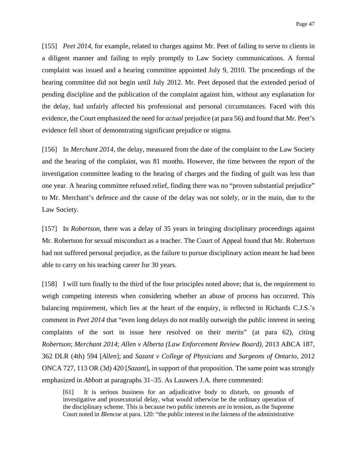[155] *Peet 2014*, for example, related to charges against Mr. Peet of failing to serve to clients in a diligent manner and failing to reply promptly to Law Society communications. A formal complaint was issued and a hearing committee appointed July 9, 2010. The proceedings of the hearing committee did not begin until July 2012. Mr. Peet deposed that the extended period of pending discipline and the publication of the complaint against him, without any explanation for the delay, had unfairly affected his professional and personal circumstances. Faced with this evidence, the Court emphasized the need for *actual* prejudice (at para 56) and found that Mr. Peet's evidence fell short of demonstrating significant prejudice or stigma.

[156] In *Merchant 2014*, the delay, measured from the date of the complaint to the Law Society and the hearing of the complaint, was 81 months. However, the time between the report of the investigation committee leading to the hearing of charges and the finding of guilt was less than one year. A hearing committee refused relief, finding there was no "proven substantial prejudice" to Mr. Merchant's defence and the cause of the delay was not solely, or in the main, due to the Law Society.

[157] In *Robertson*, there was a delay of 35 years in bringing disciplinary proceedings against Mr. Robertson for sexual misconduct as a teacher. The Court of Appeal found that Mr. Robertson had not suffered personal prejudice, as the failure to pursue disciplinary action meant he had been able to carry on his teaching career for 30 years.

[158] I will turn finally to the third of the four principles noted above; that is, the requirement to weigh competing interests when considering whether an abuse of process has occurred. This balancing requirement, which lies at the heart of the enquiry, is reflected in Richards C.J.S.'s comment in *Peet 2014* that "even long delays do not readily outweigh the public interest in seeing complaints of the sort in issue here resolved on their merits" (at para 62), citing *Robertson*; *Merchant 2014*; *Allen v Alberta (Law Enforcement Review Board)*, 2013 ABCA 187, 362 DLR (4th) 594 [*Allen*]; and *Sazant v College of Physicians and Surgeons of Ontario*, 2012 ONCA 727, 113 OR (3d) 420 [*Sazant*], in support of that proposition. The same point was strongly emphasized in *Abbott* at paragraphs 31–35. As Lauwers J.A. there commented:

[61] It is serious business for an adjudicative body to disturb, on grounds of investigative and prosecutorial delay, what would otherwise be the ordinary operation of the disciplinary scheme. This is because two public interests are in tension, as the Supreme Court noted in *Blencoe* at para. 120: "the public interest in the fairness of the administrative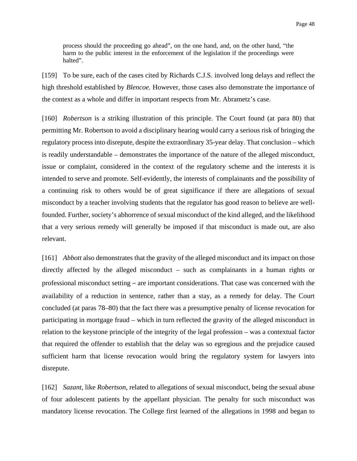process should the proceeding go ahead", on the one hand, and, on the other hand, "the harm to the public interest in the enforcement of the legislation if the proceedings were halted".

[159] To be sure, each of the cases cited by Richards C.J.S. involved long delays and reflect the high threshold established by *Blencoe.* However, those cases also demonstrate the importance of the context as a whole and differ in important respects from Mr. Abrametz's case.

[160] *Robertson* is a striking illustration of this principle. The Court found (at para 80) that permitting Mr. Robertson to avoid a disciplinary hearing would carry a serious risk of bringing the regulatory process into disrepute, despite the extraordinary 35-year delay. That conclusion – which is readily understandable – demonstrates the importance of the nature of the alleged misconduct, issue or complaint, considered in the context of the regulatory scheme and the interests it is intended to serve and promote. Self-evidently, the interests of complainants and the possibility of a continuing risk to others would be of great significance if there are allegations of sexual misconduct by a teacher involving students that the regulator has good reason to believe are wellfounded. Further, society's abhorrence of sexual misconduct of the kind alleged, and the likelihood that a very serious remedy will generally be imposed if that misconduct is made out, are also relevant.

[161] *Abbott* also demonstrates that the gravity of the alleged misconduct and its impact on those directly affected by the alleged misconduct – such as complainants in a human rights or professional misconduct setting – are important considerations. That case was concerned with the availability of a reduction in sentence, rather than a stay, as a remedy for delay. The Court concluded (at paras 78–80) that the fact there was a presumptive penalty of license revocation for participating in mortgage fraud – which in turn reflected the gravity of the alleged misconduct in relation to the keystone principle of the integrity of the legal profession – was a contextual factor that required the offender to establish that the delay was so egregious and the prejudice caused sufficient harm that license revocation would bring the regulatory system for lawyers into disrepute.

[162] *Sazant*, like *Robertson*, related to allegations of sexual misconduct, being the sexual abuse of four adolescent patients by the appellant physician. The penalty for such misconduct was mandatory license revocation. The College first learned of the allegations in 1998 and began to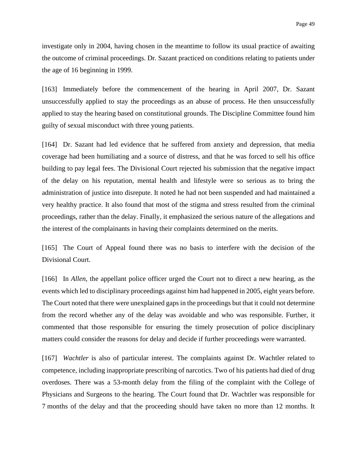investigate only in 2004, having chosen in the meantime to follow its usual practice of awaiting the outcome of criminal proceedings. Dr. Sazant practiced on conditions relating to patients under the age of 16 beginning in 1999.

[163] Immediately before the commencement of the hearing in April 2007, Dr. Sazant unsuccessfully applied to stay the proceedings as an abuse of process. He then unsuccessfully applied to stay the hearing based on constitutional grounds. The Discipline Committee found him guilty of sexual misconduct with three young patients.

[164] Dr. Sazant had led evidence that he suffered from anxiety and depression, that media coverage had been humiliating and a source of distress, and that he was forced to sell his office building to pay legal fees. The Divisional Court rejected his submission that the negative impact of the delay on his reputation, mental health and lifestyle were so serious as to bring the administration of justice into disrepute. It noted he had not been suspended and had maintained a very healthy practice. It also found that most of the stigma and stress resulted from the criminal proceedings, rather than the delay. Finally, it emphasized the serious nature of the allegations and the interest of the complainants in having their complaints determined on the merits.

[165] The Court of Appeal found there was no basis to interfere with the decision of the Divisional Court.

[166] In *Allen*, the appellant police officer urged the Court not to direct a new hearing, as the events which led to disciplinary proceedings against him had happened in 2005, eight years before. The Court noted that there were unexplained gaps in the proceedings but that it could not determine from the record whether any of the delay was avoidable and who was responsible. Further, it commented that those responsible for ensuring the timely prosecution of police disciplinary matters could consider the reasons for delay and decide if further proceedings were warranted.

[167] *Wachtler* is also of particular interest. The complaints against Dr. Wachtler related to competence, including inappropriate prescribing of narcotics. Two of his patients had died of drug overdoses. There was a 53-month delay from the filing of the complaint with the College of Physicians and Surgeons to the hearing. The Court found that Dr. Wachtler was responsible for 7 months of the delay and that the proceeding should have taken no more than 12 months. It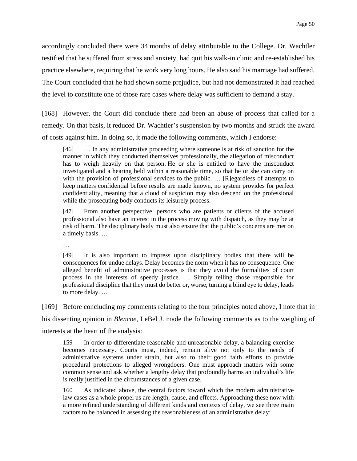accordingly concluded there were 34 months of delay attributable to the College. Dr. Wachtler testified that he suffered from stress and anxiety, had quit his walk-in clinic and re-established his practice elsewhere, requiring that he work very long hours. He also said his marriage had suffered. The Court concluded that he had shown some prejudice, but had not demonstrated it had reached the level to constitute one of those rare cases where delay was sufficient to demand a stay.

[168] However, the Court did conclude there had been an abuse of process that called for a remedy. On that basis, it reduced Dr. Wachtler's suspension by two months and struck the award of costs against him. In doing so, it made the following comments, which I endorse:

[46] … In any administrative proceeding where someone is at risk of sanction for the manner in which they conducted themselves professionally, the allegation of misconduct has to weigh heavily on that person. He or she is entitled to have the misconduct investigated and a hearing held within a reasonable time, so that he or she can carry on with the provision of professional services to the public. ... [R]egardless of attempts to keep matters confidential before results are made known, no system provides for perfect confidentiality, meaning that a cloud of suspicion may also descend on the professional while the prosecuting body conducts its leisurely process.

[47] From another perspective, persons who are patients or clients of the accused professional also have an interest in the process moving with dispatch, as they may be at risk of harm. The disciplinary body must also ensure that the public's concerns are met on a timely basis. …

…

[49] It is also important to impress upon disciplinary bodies that there will be consequences for undue delays. Delay becomes the norm when it has no consequence. One alleged benefit of administrative processes is that they avoid the formalities of court process in the interests of speedy justice. … Simply telling those responsible for professional discipline that they must do better or, worse, turning a blind eye to delay, leads to more delay. …

[169] Before concluding my comments relating to the four principles noted above, I note that in his dissenting opinion in *Blencoe*, LeBel J. made the following comments as to the weighing of interests at the heart of the analysis:

159 In order to differentiate reasonable and unreasonable delay, a balancing exercise becomes necessary. Courts must, indeed, remain alive not only to the needs of administrative systems under strain, but also to their good faith efforts to provide procedural protections to alleged wrongdoers. One must approach matters with some common sense and ask whether a lengthy delay that profoundly harms an individual's life is really justified in the circumstances of a given case.

160 As indicated above, the central factors toward which the modern administrative law cases as a whole propel us are length, cause, and effects. Approaching these now with a more refined understanding of different kinds and contexts of delay, we see three main factors to be balanced in assessing the reasonableness of an administrative delay: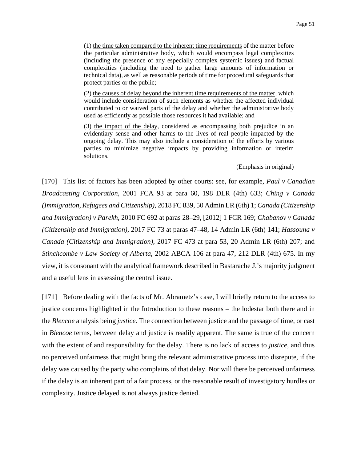(1) the time taken compared to the inherent time requirements of the matter before the particular administrative body, which would encompass legal complexities (including the presence of any especially complex systemic issues) and factual complexities (including the need to gather large amounts of information or technical data), as well as reasonable periods of time for procedural safeguards that protect parties or the public;

(2) the causes of delay beyond the inherent time requirements of the matter, which would include consideration of such elements as whether the affected individual contributed to or waived parts of the delay and whether the administrative body used as efficiently as possible those resources it had available; and

(3) the impact of the delay, considered as encompassing both prejudice in an evidentiary sense and other harms to the lives of real people impacted by the ongoing delay. This may also include a consideration of the efforts by various parties to minimize negative impacts by providing information or interim solutions.

(Emphasis in original)

[170] This list of factors has been adopted by other courts: see, for example, *Paul v Canadian Broadcasting Corporation*, 2001 FCA 93 at para 60, 198 DLR (4th) 633; *Ching v Canada (Immigration, Refugees and Citizenship)*, 2018 FC 839, 50 Admin LR (6th) 1; *Canada (Citizenship and Immigration) v Parekh*, 2010 FC 692 at paras 28–29, [2012] 1 FCR 169; *Chabanov v Canada (Citizenship and Immigration)*, 2017 FC 73 at paras 47–48, 14 Admin LR (6th) 141; *Hassouna v Canada (Citizenship and Immigration)*, 2017 FC 473 at para 53, 20 Admin LR (6th) 207; and *Stinchcombe v Law Society of Alberta*, 2002 ABCA 106 at para 47, 212 DLR (4th) 675. In my view, it is consonant with the analytical framework described in Bastarache J.'s majority judgment and a useful lens in assessing the central issue.

[171] Before dealing with the facts of Mr. Abrametz's case, I will briefly return to the access to justice concerns highlighted in the Introduction to these reasons – the lodestar both there and in the *Blencoe* analysis being *justice*. The connection between justice and the passage of time, or cast in *Blencoe* terms, between delay and justice is readily apparent. The same is true of the concern with the extent of and responsibility for the delay. There is no lack of access to *justice*, and thus no perceived unfairness that might bring the relevant administrative process into disrepute, if the delay was caused by the party who complains of that delay. Nor will there be perceived unfairness if the delay is an inherent part of a fair process, or the reasonable result of investigatory hurdles or complexity. Justice delayed is not always justice denied.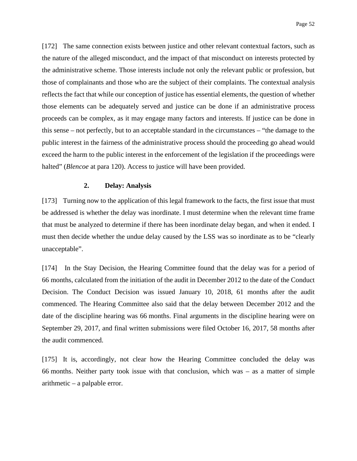[172] The same connection exists between justice and other relevant contextual factors, such as the nature of the alleged misconduct, and the impact of that misconduct on interests protected by the administrative scheme. Those interests include not only the relevant public or profession, but those of complainants and those who are the subject of their complaints. The contextual analysis reflects the fact that while our conception of justice has essential elements, the question of whether those elements can be adequately served and justice can be done if an administrative process proceeds can be complex, as it may engage many factors and interests. If justice can be done in this sense – not perfectly, but to an acceptable standard in the circumstances – "the damage to the public interest in the fairness of the administrative process should the proceeding go ahead would exceed the harm to the public interest in the enforcement of the legislation if the proceedings were halted" (*Blencoe* at para 120). Access to justice will have been provided.

#### **2. Delay: Analysis**

[173] Turning now to the application of this legal framework to the facts, the first issue that must be addressed is whether the delay was inordinate. I must determine when the relevant time frame that must be analyzed to determine if there has been inordinate delay began, and when it ended. I must then decide whether the undue delay caused by the LSS was so inordinate as to be "clearly unacceptable".

[174] In the Stay Decision, the Hearing Committee found that the delay was for a period of 66 months, calculated from the initiation of the audit in December 2012 to the date of the Conduct Decision. The Conduct Decision was issued January 10, 2018, 61 months after the audit commenced. The Hearing Committee also said that the delay between December 2012 and the date of the discipline hearing was 66 months. Final arguments in the discipline hearing were on September 29, 2017, and final written submissions were filed October 16, 2017, 58 months after the audit commenced.

[175] It is, accordingly, not clear how the Hearing Committee concluded the delay was 66 months. Neither party took issue with that conclusion, which was – as a matter of simple arithmetic – a palpable error.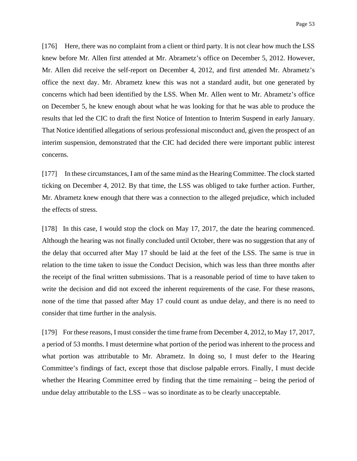[176] Here, there was no complaint from a client or third party. It is not clear how much the LSS knew before Mr. Allen first attended at Mr. Abrametz's office on December 5, 2012. However, Mr. Allen did receive the self-report on December 4, 2012, and first attended Mr. Abrametz's office the next day. Mr. Abrametz knew this was not a standard audit, but one generated by concerns which had been identified by the LSS. When Mr. Allen went to Mr. Abrametz's office on December 5, he knew enough about what he was looking for that he was able to produce the results that led the CIC to draft the first Notice of Intention to Interim Suspend in early January. That Notice identified allegations of serious professional misconduct and, given the prospect of an interim suspension, demonstrated that the CIC had decided there were important public interest concerns.

[177] In these circumstances, I am of the same mind as the Hearing Committee. The clock started ticking on December 4, 2012. By that time, the LSS was obliged to take further action. Further, Mr. Abrametz knew enough that there was a connection to the alleged prejudice, which included the effects of stress.

[178] In this case, I would stop the clock on May 17, 2017, the date the hearing commenced. Although the hearing was not finally concluded until October, there was no suggestion that any of the delay that occurred after May 17 should be laid at the feet of the LSS. The same is true in relation to the time taken to issue the Conduct Decision, which was less than three months after the receipt of the final written submissions. That is a reasonable period of time to have taken to write the decision and did not exceed the inherent requirements of the case. For these reasons, none of the time that passed after May 17 could count as undue delay, and there is no need to consider that time further in the analysis.

[179] For these reasons, I must consider the time frame from December 4, 2012, to May 17, 2017, a period of 53 months. I must determine what portion of the period was inherent to the process and what portion was attributable to Mr. Abrametz. In doing so, I must defer to the Hearing Committee's findings of fact, except those that disclose palpable errors. Finally, I must decide whether the Hearing Committee erred by finding that the time remaining – being the period of undue delay attributable to the LSS – was so inordinate as to be clearly unacceptable.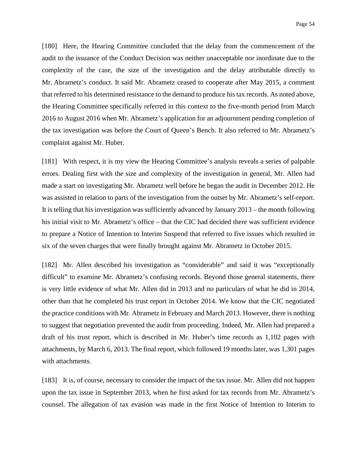[180] Here, the Hearing Committee concluded that the delay from the commencement of the audit to the issuance of the Conduct Decision was neither unacceptable nor inordinate due to the complexity of the case, the size of the investigation and the delay attributable directly to Mr. Abrametz's conduct. It said Mr. Abrametz ceased to cooperate after May 2015, a comment that referred to his determined resistance to the demand to produce his tax records. As noted above, the Hearing Committee specifically referred in this context to the five-month period from March 2016 to August 2016 when Mr. Abrametz's application for an adjournment pending completion of the tax investigation was before the Court of Queen's Bench. It also referred to Mr. Abrametz's complaint against Mr. Huber.

[181] With respect, it is my view the Hearing Committee's analysis reveals a series of palpable errors. Dealing first with the size and complexity of the investigation in general, Mr. Allen had made a start on investigating Mr. Abrametz well before he began the audit in December 2012. He was assisted in relation to parts of the investigation from the outset by Mr. Abrametz's self-report. It is telling that his investigation was sufficiently advanced by January 2013 – the month following his initial visit to Mr. Abrametz's office – that the CIC had decided there was sufficient evidence to prepare a Notice of Intention to Interim Suspend that referred to five issues which resulted in six of the seven charges that were finally brought against Mr. Abrametz in October 2015.

[182] Mr. Allen described his investigation as "considerable" and said it was "exceptionally difficult" to examine Mr. Abrametz's confusing records. Beyond those general statements, there is very little evidence of what Mr. Allen did in 2013 and no particulars of what he did in 2014, other than that he completed his trust report in October 2014. We know that the CIC negotiated the practice conditions with Mr. Abrametz in February and March 2013. However, there is nothing to suggest that negotiation prevented the audit from proceeding. Indeed, Mr. Allen had prepared a draft of his trust report, which is described in Mr. Huber's time records as 1,102 pages with attachments, by March 6, 2013. The final report, which followed 19 months later, was 1,301 pages with attachments.

[183] It is, of course, necessary to consider the impact of the tax issue. Mr. Allen did not happen upon the tax issue in September 2013, when he first asked for tax records from Mr. Abrametz's counsel. The allegation of tax evasion was made in the first Notice of Intention to Interim to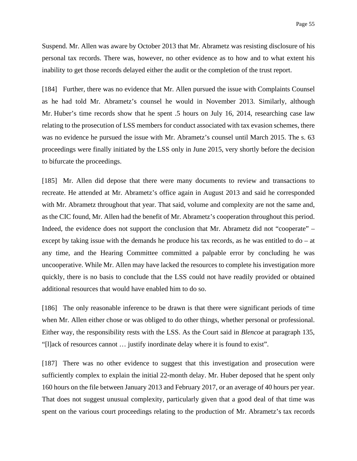Suspend. Mr. Allen was aware by October 2013 that Mr. Abrametz was resisting disclosure of his personal tax records. There was, however, no other evidence as to how and to what extent his inability to get those records delayed either the audit or the completion of the trust report.

[184] Further, there was no evidence that Mr. Allen pursued the issue with Complaints Counsel as he had told Mr. Abrametz's counsel he would in November 2013. Similarly, although Mr. Huber's time records show that he spent .5 hours on July 16, 2014, researching case law relating to the prosecution of LSS members for conduct associated with tax evasion schemes, there was no evidence he pursued the issue with Mr. Abrametz's counsel until March 2015. The s. 63 proceedings were finally initiated by the LSS only in June 2015, very shortly before the decision to bifurcate the proceedings.

[185] Mr. Allen did depose that there were many documents to review and transactions to recreate. He attended at Mr. Abrametz's office again in August 2013 and said he corresponded with Mr. Abrametz throughout that year. That said, volume and complexity are not the same and, as the CIC found, Mr. Allen had the benefit of Mr. Abrametz's cooperation throughout this period. Indeed, the evidence does not support the conclusion that Mr. Abrametz did not "cooperate" – except by taking issue with the demands he produce his tax records, as he was entitled to do – at any time, and the Hearing Committee committed a palpable error by concluding he was uncooperative. While Mr. Allen may have lacked the resources to complete his investigation more quickly, there is no basis to conclude that the LSS could not have readily provided or obtained additional resources that would have enabled him to do so.

[186] The only reasonable inference to be drawn is that there were significant periods of time when Mr. Allen either chose or was obliged to do other things, whether personal or professional. Either way, the responsibility rests with the LSS. As the Court said in *Blencoe* at paragraph 135, "[l]ack of resources cannot … justify inordinate delay where it is found to exist".

[187] There was no other evidence to suggest that this investigation and prosecution were sufficiently complex to explain the initial 22-month delay. Mr. Huber deposed that he spent only 160 hours on the file between January 2013 and February 2017, or an average of 40 hours per year. That does not suggest unusual complexity, particularly given that a good deal of that time was spent on the various court proceedings relating to the production of Mr. Abrametz's tax records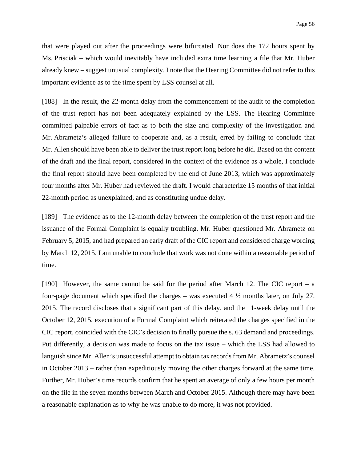that were played out after the proceedings were bifurcated. Nor does the 172 hours spent by Ms. Prisciak – which would inevitably have included extra time learning a file that Mr. Huber already knew – suggest unusual complexity. I note that the Hearing Committee did not refer to this important evidence as to the time spent by LSS counsel at all.

[188] In the result, the 22-month delay from the commencement of the audit to the completion of the trust report has not been adequately explained by the LSS. The Hearing Committee committed palpable errors of fact as to both the size and complexity of the investigation and Mr. Abrametz's alleged failure to cooperate and, as a result, erred by failing to conclude that Mr. Allen should have been able to deliver the trust report long before he did. Based on the content of the draft and the final report, considered in the context of the evidence as a whole, I conclude the final report should have been completed by the end of June 2013, which was approximately four months after Mr. Huber had reviewed the draft. I would characterize 15 months of that initial 22-month period as unexplained, and as constituting undue delay.

[189] The evidence as to the 12-month delay between the completion of the trust report and the issuance of the Formal Complaint is equally troubling. Mr. Huber questioned Mr. Abrametz on February 5, 2015, and had prepared an early draft of the CIC report and considered charge wording by March 12, 2015. I am unable to conclude that work was not done within a reasonable period of time.

[190] However, the same cannot be said for the period after March 12. The CIC report – a four-page document which specified the charges – was executed  $4\frac{1}{2}$  months later, on July 27, 2015. The record discloses that a significant part of this delay, and the 11-week delay until the October 12, 2015, execution of a Formal Complaint which reiterated the charges specified in the CIC report, coincided with the CIC's decision to finally pursue the s. 63 demand and proceedings. Put differently, a decision was made to focus on the tax issue – which the LSS had allowed to languish since Mr. Allen's unsuccessful attempt to obtain tax records from Mr. Abrametz's counsel in October 2013 – rather than expeditiously moving the other charges forward at the same time. Further, Mr. Huber's time records confirm that he spent an average of only a few hours per month on the file in the seven months between March and October 2015. Although there may have been a reasonable explanation as to why he was unable to do more, it was not provided.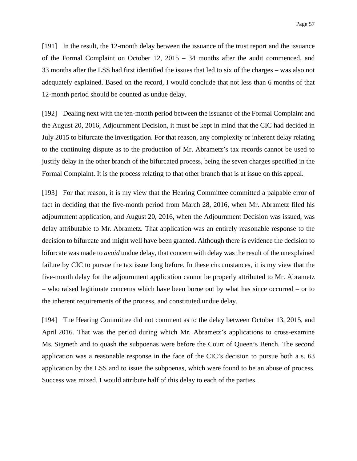[191] In the result, the 12-month delay between the issuance of the trust report and the issuance of the Formal Complaint on October 12, 2015 – 34 months after the audit commenced, and 33 months after the LSS had first identified the issues that led to six of the charges – was also not adequately explained. Based on the record, I would conclude that not less than 6 months of that 12-month period should be counted as undue delay.

[192] Dealing next with the ten-month period between the issuance of the Formal Complaint and the August 20, 2016, Adjournment Decision, it must be kept in mind that the CIC had decided in July 2015 to bifurcate the investigation. For that reason, any complexity or inherent delay relating to the continuing dispute as to the production of Mr. Abrametz's tax records cannot be used to justify delay in the other branch of the bifurcated process, being the seven charges specified in the Formal Complaint. It is the process relating to that other branch that is at issue on this appeal.

[193] For that reason, it is my view that the Hearing Committee committed a palpable error of fact in deciding that the five-month period from March 28, 2016, when Mr. Abrametz filed his adjournment application, and August 20, 2016, when the Adjournment Decision was issued, was delay attributable to Mr. Abrametz. That application was an entirely reasonable response to the decision to bifurcate and might well have been granted. Although there is evidence the decision to bifurcate was made to *avoid* undue delay, that concern with delay was the result of the unexplained failure by CIC to pursue the tax issue long before. In these circumstances, it is my view that the five-month delay for the adjournment application cannot be properly attributed to Mr. Abrametz – who raised legitimate concerns which have been borne out by what has since occurred – or to the inherent requirements of the process, and constituted undue delay.

[194] The Hearing Committee did not comment as to the delay between October 13, 2015, and April 2016. That was the period during which Mr. Abrametz's applications to cross-examine Ms. Sigmeth and to quash the subpoenas were before the Court of Queen's Bench. The second application was a reasonable response in the face of the CIC's decision to pursue both a s. 63 application by the LSS and to issue the subpoenas, which were found to be an abuse of process. Success was mixed. I would attribute half of this delay to each of the parties.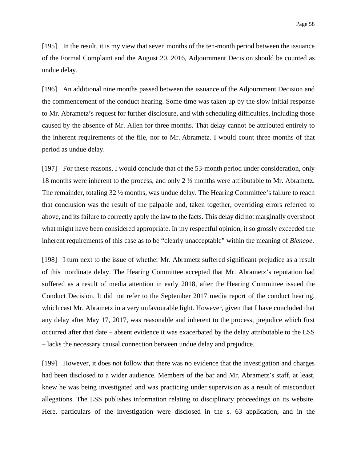[195] In the result, it is my view that seven months of the ten-month period between the issuance of the Formal Complaint and the August 20, 2016, Adjournment Decision should be counted as undue delay.

[196] An additional nine months passed between the issuance of the Adjournment Decision and the commencement of the conduct hearing. Some time was taken up by the slow initial response to Mr. Abrametz's request for further disclosure, and with scheduling difficulties, including those caused by the absence of Mr. Allen for three months. That delay cannot be attributed entirely to the inherent requirements of the file, nor to Mr. Abrametz. I would count three months of that period as undue delay.

[197] For these reasons, I would conclude that of the 53-month period under consideration, only 18 months were inherent to the process, and only 2 ½ months were attributable to Mr. Abrametz. The remainder, totaling 32 ½ months, was undue delay. The Hearing Committee's failure to reach that conclusion was the result of the palpable and, taken together, overriding errors referred to above, and its failure to correctly apply the law to the facts. This delay did not marginally overshoot what might have been considered appropriate. In my respectful opinion, it so grossly exceeded the inherent requirements of this case as to be "clearly unacceptable" within the meaning of *Blencoe*.

[198] I turn next to the issue of whether Mr. Abrametz suffered significant prejudice as a result of this inordinate delay. The Hearing Committee accepted that Mr. Abrametz's reputation had suffered as a result of media attention in early 2018, after the Hearing Committee issued the Conduct Decision. It did not refer to the September 2017 media report of the conduct hearing, which cast Mr. Abrametz in a very unfavourable light. However, given that I have concluded that any delay after May 17, 2017, was reasonable and inherent to the process, prejudice which first occurred after that date – absent evidence it was exacerbated by the delay attributable to the LSS – lacks the necessary causal connection between undue delay and prejudice.

[199] However, it does not follow that there was no evidence that the investigation and charges had been disclosed to a wider audience. Members of the bar and Mr. Abrametz's staff, at least, knew he was being investigated and was practicing under supervision as a result of misconduct allegations. The LSS publishes information relating to disciplinary proceedings on its website. Here, particulars of the investigation were disclosed in the s. 63 application, and in the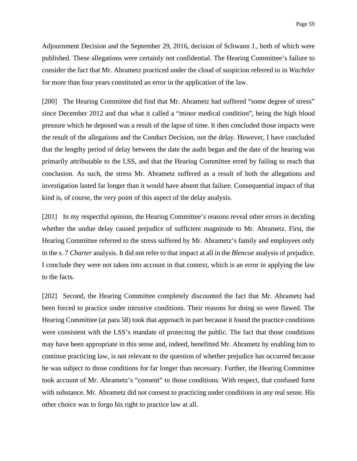Adjournment Decision and the September 29, 2016, decision of Schwann J., both of which were published. These allegations were certainly not confidential. The Hearing Committee's failure to consider the fact that Mr. Abrametz practiced under the cloud of suspicion referred to in *Wachtler* for more than four years constituted an error in the application of the law.

[200] The Hearing Committee did find that Mr. Abrametz had suffered "some degree of stress" since December 2012 and that what it called a "minor medical condition", being the high blood pressure which he deposed was a result of the lapse of time. It then concluded those impacts were the result of the allegations and the Conduct Decision, not the delay. However, I have concluded that the lengthy period of delay between the date the audit began and the date of the hearing was primarily attributable to the LSS, and that the Hearing Committee erred by failing to reach that conclusion. As such, the stress Mr. Abrametz suffered as a result of both the allegations and investigation lasted far longer than it would have absent that failure. Consequential impact of that kind is, of course, the very point of this aspect of the delay analysis.

[201] In my respectful opinion, the Hearing Committee's reasons reveal other errors in deciding whether the undue delay caused prejudice of sufficient magnitude to Mr. Abrametz. First, the Hearing Committee referred to the stress suffered by Mr. Abrametz's family and employees only in the s. 7 *Charter* analysis. It did not refer to that impact at all in the *Blencoe* analysis of prejudice. I conclude they were not taken into account in that context, which is an error in applying the law to the facts.

[202] Second, the Hearing Committee completely discounted the fact that Mr. Abrametz had been forced to practice under intrusive conditions. Their reasons for doing so were flawed. The Hearing Committee (at para 58) took that approach in part because it found the practice conditions were consistent with the LSS's mandate of protecting the public. The fact that those conditions may have been appropriate in this sense and, indeed, benefitted Mr. Abrametz by enabling him to continue practicing law, is not relevant to the question of whether prejudice has occurred because he was subject to those conditions for far longer than necessary. Further, the Hearing Committee took account of Mr. Abrametz's "consent" to those conditions. With respect, that confused form with substance. Mr. Abrametz did not consent to practicing under conditions in any real sense. His other choice was to forgo his right to practice law at all.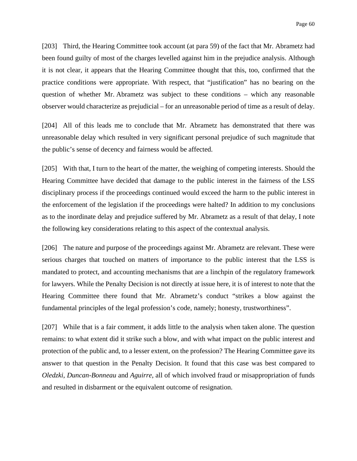[203] Third, the Hearing Committee took account (at para 59) of the fact that Mr. Abrametz had been found guilty of most of the charges levelled against him in the prejudice analysis. Although it is not clear, it appears that the Hearing Committee thought that this, too, confirmed that the practice conditions were appropriate. With respect, that "justification" has no bearing on the question of whether Mr. Abrametz was subject to these conditions – which any reasonable observer would characterize as prejudicial – for an unreasonable period of time as a result of delay.

[204] All of this leads me to conclude that Mr. Abrametz has demonstrated that there was unreasonable delay which resulted in very significant personal prejudice of such magnitude that the public's sense of decency and fairness would be affected.

[205] With that, I turn to the heart of the matter, the weighing of competing interests. Should the Hearing Committee have decided that damage to the public interest in the fairness of the LSS disciplinary process if the proceedings continued would exceed the harm to the public interest in the enforcement of the legislation if the proceedings were halted? In addition to my conclusions as to the inordinate delay and prejudice suffered by Mr. Abrametz as a result of that delay, I note the following key considerations relating to this aspect of the contextual analysis.

[206] The nature and purpose of the proceedings against Mr. Abrametz are relevant. These were serious charges that touched on matters of importance to the public interest that the LSS is mandated to protect, and accounting mechanisms that are a linchpin of the regulatory framework for lawyers. While the Penalty Decision is not directly at issue here, it is of interest to note that the Hearing Committee there found that Mr. Abrametz's conduct "strikes a blow against the fundamental principles of the legal profession's code, namely; honesty, trustworthiness".

[207] While that is a fair comment, it adds little to the analysis when taken alone. The question remains: to what extent did it strike such a blow, and with what impact on the public interest and protection of the public and, to a lesser extent, on the profession? The Hearing Committee gave its answer to that question in the Penalty Decision. It found that this case was best compared to *Oledzki*, *Duncan-Bonneau* and *Aguirre*, all of which involved fraud or misappropriation of funds and resulted in disbarment or the equivalent outcome of resignation.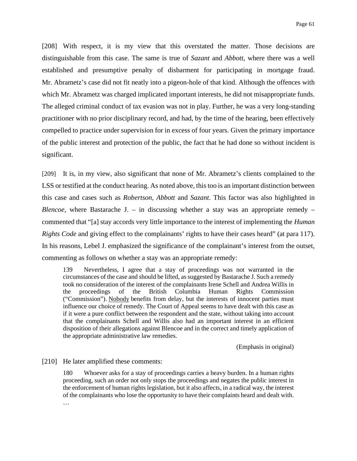[208] With respect, it is my view that this overstated the matter. Those decisions are distinguishable from this case. The same is true of *Sazant* and *Abbott*, where there was a well established and presumptive penalty of disbarment for participating in mortgage fraud. Mr. Abrametz's case did not fit neatly into a pigeon-hole of that kind. Although the offences with which Mr. Abrametz was charged implicated important interests, he did not misappropriate funds. The alleged criminal conduct of tax evasion was not in play. Further, he was a very long-standing practitioner with no prior disciplinary record, and had, by the time of the hearing, been effectively compelled to practice under supervision for in excess of four years. Given the primary importance of the public interest and protection of the public, the fact that he had done so without incident is significant.

[209] It is, in my view, also significant that none of Mr. Abrametz's clients complained to the LSS or testified at the conduct hearing. As noted above, this too is an important distinction between this case and cases such as *Robertson*, *Abbott* and *Sazant*. This factor was also highlighted in *Blencoe*, where Bastarache J. – in discussing whether a stay was an appropriate remedy – commented that "[a] stay accords very little importance to the interest of implementing the *Human Rights Code* and giving effect to the complainants' rights to have their cases heard" (at para 117). In his reasons, Lebel J. emphasized the significance of the complainant's interest from the outset, commenting as follows on whether a stay was an appropriate remedy:

139 Nevertheless, I agree that a stay of proceedings was not warranted in the circumstances of the case and should be lifted, as suggested by Bastarache J. Such a remedy took no consideration of the interest of the complainants Irene Schell and Andrea Willis in the proceedings of the British Columbia Human Rights Commission ("Commission"). Nobody benefits from delay, but the interests of innocent parties must influence our choice of remedy. The Court of Appeal seems to have dealt with this case as if it were a pure conflict between the respondent and the state, without taking into account that the complainants Schell and Willis also had an important interest in an efficient disposition of their allegations against Blencoe and in the correct and timely application of the appropriate administrative law remedies.

(Emphasis in original)

[210] He later amplified these comments:

180 Whoever asks for a stay of proceedings carries a heavy burden. In a human rights proceeding, such an order not only stops the proceedings and negates the public interest in the enforcement of human rights legislation, but it also affects, in a radical way, the interest of the complainants who lose the opportunity to have their complaints heard and dealt with. …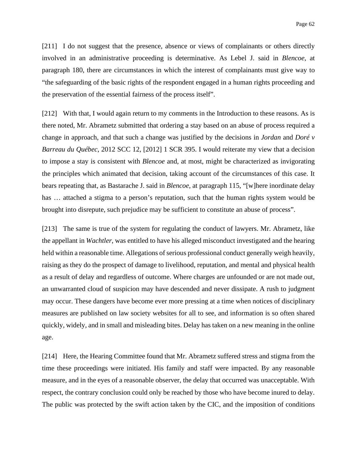[211] I do not suggest that the presence, absence or views of complainants or others directly involved in an administrative proceeding is determinative. As Lebel J. said in *Blencoe*, at paragraph 180, there are circumstances in which the interest of complainants must give way to "the safeguarding of the basic rights of the respondent engaged in a human rights proceeding and the preservation of the essential fairness of the process itself".

[212] With that, I would again return to my comments in the Introduction to these reasons. As is there noted, Mr. Abrametz submitted that ordering a stay based on an abuse of process required a change in approach, and that such a change was justified by the decisions in *Jordan* and *Doré v Barreau du Québec*, 2012 SCC 12, [2012] 1 SCR 395. I would reiterate my view that a decision to impose a stay is consistent with *Blencoe* and, at most, might be characterized as invigorating the principles which animated that decision, taking account of the circumstances of this case. It bears repeating that, as Bastarache J. said in *Blencoe*, at paragraph 115, "[w]here inordinate delay has  $\ldots$  attached a stigma to a person's reputation, such that the human rights system would be brought into disrepute, such prejudice may be sufficient to constitute an abuse of process".

[213] The same is true of the system for regulating the conduct of lawyers. Mr. Abrametz, like the appellant in *Wachtler*, was entitled to have his alleged misconduct investigated and the hearing held within a reasonable time. Allegations of serious professional conduct generally weigh heavily, raising as they do the prospect of damage to livelihood, reputation, and mental and physical health as a result of delay and regardless of outcome. Where charges are unfounded or are not made out, an unwarranted cloud of suspicion may have descended and never dissipate. A rush to judgment may occur. These dangers have become ever more pressing at a time when notices of disciplinary measures are published on law society websites for all to see, and information is so often shared quickly, widely, and in small and misleading bites. Delay has taken on a new meaning in the online age.

[214] Here, the Hearing Committee found that Mr. Abrametz suffered stress and stigma from the time these proceedings were initiated. His family and staff were impacted. By any reasonable measure, and in the eyes of a reasonable observer, the delay that occurred was unacceptable. With respect, the contrary conclusion could only be reached by those who have become inured to delay. The public was protected by the swift action taken by the CIC, and the imposition of conditions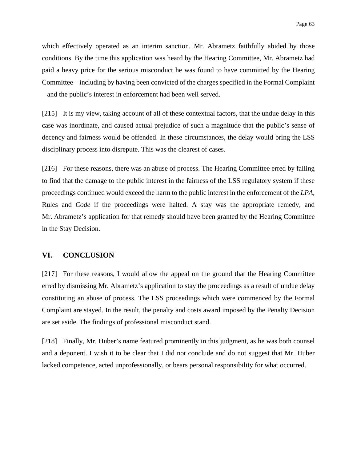which effectively operated as an interim sanction. Mr. Abrametz faithfully abided by those conditions. By the time this application was heard by the Hearing Committee, Mr. Abrametz had paid a heavy price for the serious misconduct he was found to have committed by the Hearing Committee – including by having been convicted of the charges specified in the Formal Complaint – and the public's interest in enforcement had been well served.

[215] It is my view, taking account of all of these contextual factors, that the undue delay in this case was inordinate, and caused actual prejudice of such a magnitude that the public's sense of decency and fairness would be offended. In these circumstances, the delay would bring the LSS disciplinary process into disrepute. This was the clearest of cases.

[216] For these reasons, there was an abuse of process. The Hearing Committee erred by failing to find that the damage to the public interest in the fairness of the LSS regulatory system if these proceedings continued would exceed the harm to the public interest in the enforcement of the *LPA*, Rules and *Code* if the proceedings were halted. A stay was the appropriate remedy, and Mr. Abrametz's application for that remedy should have been granted by the Hearing Committee in the Stay Decision.

#### **VI. CONCLUSION**

[217] For these reasons, I would allow the appeal on the ground that the Hearing Committee erred by dismissing Mr. Abrametz's application to stay the proceedings as a result of undue delay constituting an abuse of process. The LSS proceedings which were commenced by the Formal Complaint are stayed. In the result, the penalty and costs award imposed by the Penalty Decision are set aside. The findings of professional misconduct stand.

[218] Finally, Mr. Huber's name featured prominently in this judgment, as he was both counsel and a deponent. I wish it to be clear that I did not conclude and do not suggest that Mr. Huber lacked competence, acted unprofessionally, or bears personal responsibility for what occurred.